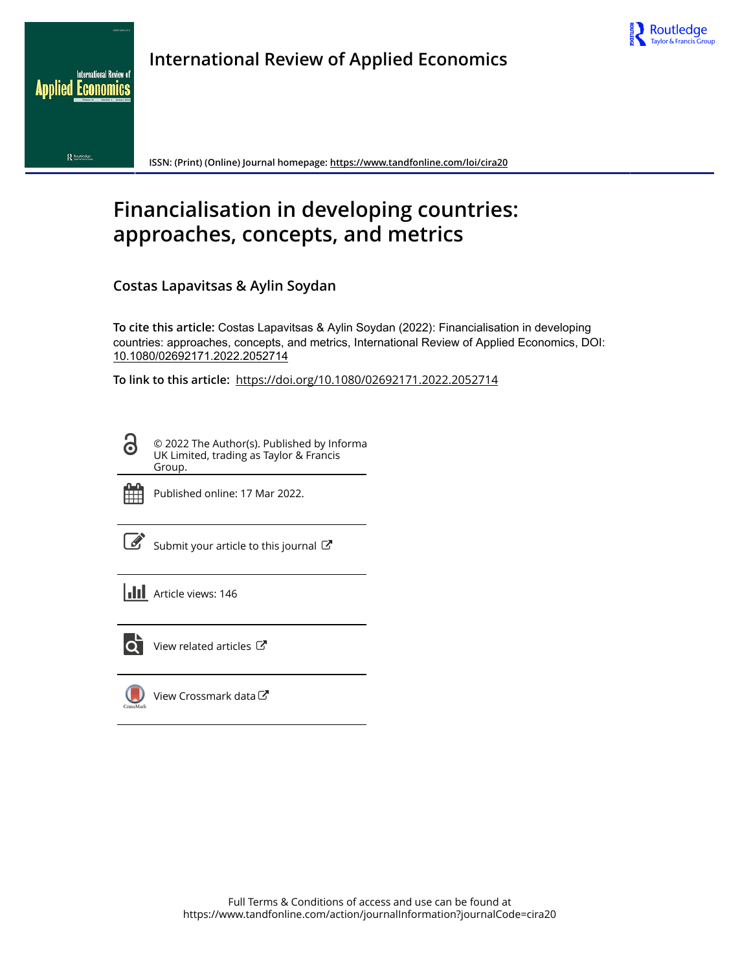



**Applied Economics** 

nternational Review of

**ISSN: (Print) (Online) Journal homepage:<https://www.tandfonline.com/loi/cira20>**

# **Financialisation in developing countries: approaches, concepts, and metrics**

**Costas Lapavitsas & Aylin Soydan**

**To cite this article:** Costas Lapavitsas & Aylin Soydan (2022): Financialisation in developing countries: approaches, concepts, and metrics, International Review of Applied Economics, DOI: [10.1080/02692171.2022.2052714](https://www.tandfonline.com/action/showCitFormats?doi=10.1080/02692171.2022.2052714)

**To link to this article:** <https://doi.org/10.1080/02692171.2022.2052714>

© 2022 The Author(s). Published by Informa UK Limited, trading as Taylor & Francis Group.



ര

Published online: 17 Mar 2022.

[Submit your article to this journal](https://www.tandfonline.com/action/authorSubmission?journalCode=cira20&show=instructions)  $\mathbb{Z}$ 

**Article views: 146** 



 $\overline{Q}$  [View related articles](https://www.tandfonline.com/doi/mlt/10.1080/02692171.2022.2052714)  $\overline{C}$ 

[View Crossmark data](http://crossmark.crossref.org/dialog/?doi=10.1080/02692171.2022.2052714&domain=pdf&date_stamp=2022-03-17)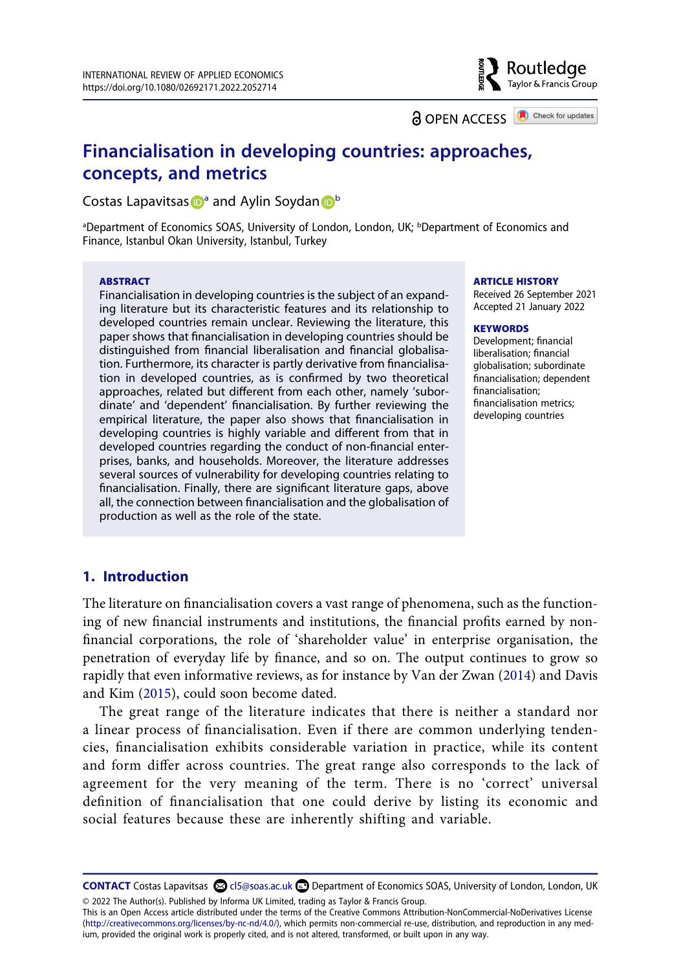**a** OPEN ACCESS **a** Check for updates

Routledae Taylor & Francis Group

# **Financialisation in developing countries: approaches, concepts, and metrics**

Co[s](http://orcid.org/0000-0001-9330-7105)t[a](#page-1-0)s Lapavitsas  $\mathbf{D}^{\mathsf{a}}$  $\mathbf{D}^{\mathsf{a}}$  $\mathbf{D}^{\mathsf{a}}$  and Aylin Soydan  $\mathbf{D}^{\mathsf{b}}$ 

<span id="page-1-0"></span><sup>a</sup>Department of Economics SOAS, University of London, London, UK; <sup>b</sup>Department of Economics and Finance, Istanbul Okan University, Istanbul, Turkey

#### **ABSTRACT**

Financialisation in developing countries is the subject of an expanding literature but its characteristic features and its relationship to developed countries remain unclear. Reviewing the literature, this paper shows that financialisation in developing countries should be distinguished from financial liberalisation and financial globalisation. Furthermore, its character is partly derivative from financialisation in developed countries, as is confirmed by two theoretical approaches, related but different from each other, namely 'subordinate' and 'dependent' financialisation. By further reviewing the empirical literature, the paper also shows that financialisation in developing countries is highly variable and different from that in developed countries regarding the conduct of non-financial enterprises, banks, and households. Moreover, the literature addresses several sources of vulnerability for developing countries relating to financialisation. Finally, there are significant literature gaps, above all, the connection between financialisation and the globalisation of production as well as the role of the state.

#### **ARTICLE HISTORY**

Received 26 September 2021 Accepted 21 January 2022

#### **KEYWORDS**

Development; financial liberalisation; financial globalisation; subordinate financialisation; dependent financialisation; financialisation metrics; developing countries

#### **1. Introduction**

The literature on financialisation covers a vast range of phenomena, such as the functioning of new financial instruments and institutions, the financial profits earned by nonfinancial corporations, the role of 'shareholder value' in enterprise organisation, the penetration of everyday life by finance, and so on. The output continues to grow so rapidly that even informative reviews, as for instance by Van der Zwan ([2014\)](#page-24-0) and Davis and Kim ([2015](#page-20-0)), could soon become dated.

<span id="page-1-2"></span><span id="page-1-1"></span>The great range of the literature indicates that there is neither a standard nor a linear process of financialisation. Even if there are common underlying tendencies, financialisation exhibits considerable variation in practice, while its content and form differ across countries. The great range also corresponds to the lack of agreement for the very meaning of the term. There is no 'correct' universal definition of financialisation that one could derive by listing its economic and social features because these are inherently shifting and variable.

**CONTACT** Costas Lapavitsas **col** cl5@soas.ac.uk **Department of Economics SOAS**, University of London, London, UK © 2022 The Author(s). Published by Informa UK Limited, trading as Taylor & Francis Group.

This is an Open Access article distributed under the terms of the Creative Commons Attribution-NonCommercial-NoDerivatives License (http://creativecommons.org/licenses/by-nc-nd/4.0/), which permits non-commercial re-use, distribution, and reproduction in any medium, provided the original work is properly cited, and is not altered, transformed, or built upon in any way.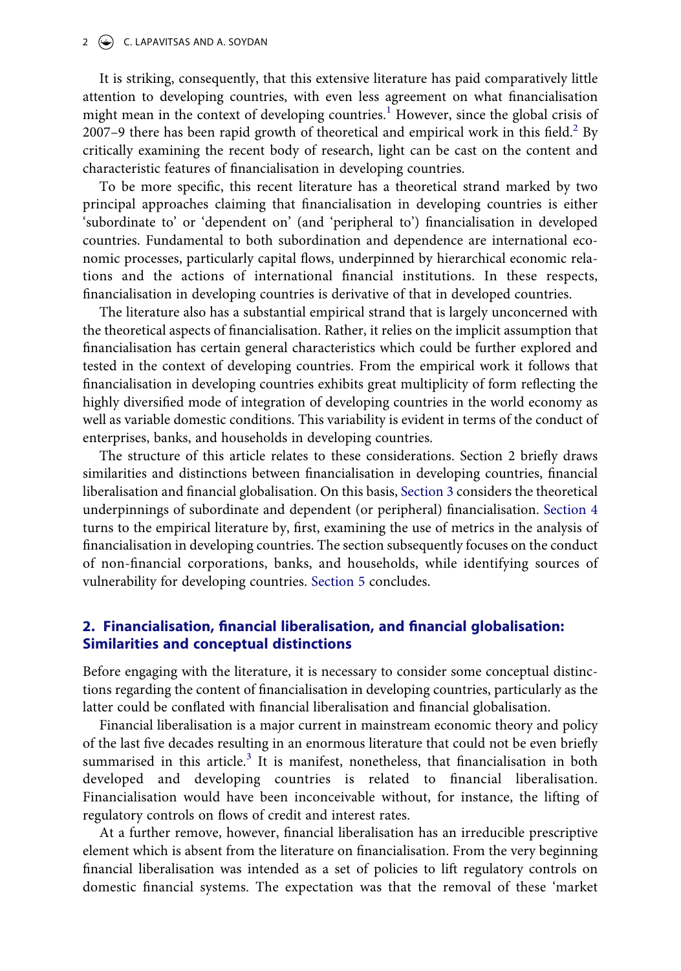#### 2  $\left(\rightarrow\right)$  C. LAPAVITSAS AND A. SOYDAN

It is striking, consequently, that this extensive literature has paid comparatively little attention to developing countries, with even less agreement on what financialisation might mean in the context of developing countries.<sup>1</sup> However, since the global crisis of 2007-9 there has been rapid growth of theoretical and empirical work in this field. $2$  By critically examining the recent body of research, light can be cast on the content and characteristic features of financialisation in developing countries.

To be more specific, this recent literature has a theoretical strand marked by two principal approaches claiming that financialisation in developing countries is either 'subordinate to' or 'dependent on' (and 'peripheral to') financialisation in developed countries. Fundamental to both subordination and dependence are international economic processes, particularly capital flows, underpinned by hierarchical economic relations and the actions of international financial institutions. In these respects, financialisation in developing countries is derivative of that in developed countries.

The literature also has a substantial empirical strand that is largely unconcerned with the theoretical aspects of financialisation. Rather, it relies on the implicit assumption that financialisation has certain general characteristics which could be further explored and tested in the context of developing countries. From the empirical work it follows that financialisation in developing countries exhibits great multiplicity of form reflecting the highly diversified mode of integration of developing countries in the world economy as well as variable domestic conditions. This variability is evident in terms of the conduct of enterprises, banks, and households in developing countries.

The structure of this article relates to these considerations. Section 2 briefly draws similarities and distinctions between financialisation in developing countries, financial liberalisation and financial globalisation. On this basis, [Section 3](#page-4-0) considers the theoretical underpinnings of subordinate and dependent (or peripheral) financialisation. [Section 4](#page-9-0) turns to the empirical literature by, first, examining the use of metrics in the analysis of financialisation in developing countries. The section subsequently focuses on the conduct of non-financial corporations, banks, and households, while identifying sources of vulnerability for developing countries. [Section 5](#page-17-2) concludes.

# **2. Financialisation, financial liberalisation, and financial globalisation: Similarities and conceptual distinctions**

Before engaging with the literature, it is necessary to consider some conceptual distinctions regarding the content of financialisation in developing countries, particularly as the latter could be conflated with financial liberalisation and financial globalisation.

Financial liberalisation is a major current in mainstream economic theory and policy of the last five decades resulting in an enormous literature that could not be even briefly summarised in this article.<sup>[3](#page-17-3)</sup> It is manifest, nonetheless, that financialisation in both developed and developing countries is related to financial liberalisation. Financialisation would have been inconceivable without, for instance, the lifting of regulatory controls on flows of credit and interest rates.

At a further remove, however, financial liberalisation has an irreducible prescriptive element which is absent from the literature on financialisation. From the very beginning financial liberalisation was intended as a set of policies to lift regulatory controls on domestic financial systems. The expectation was that the removal of these 'market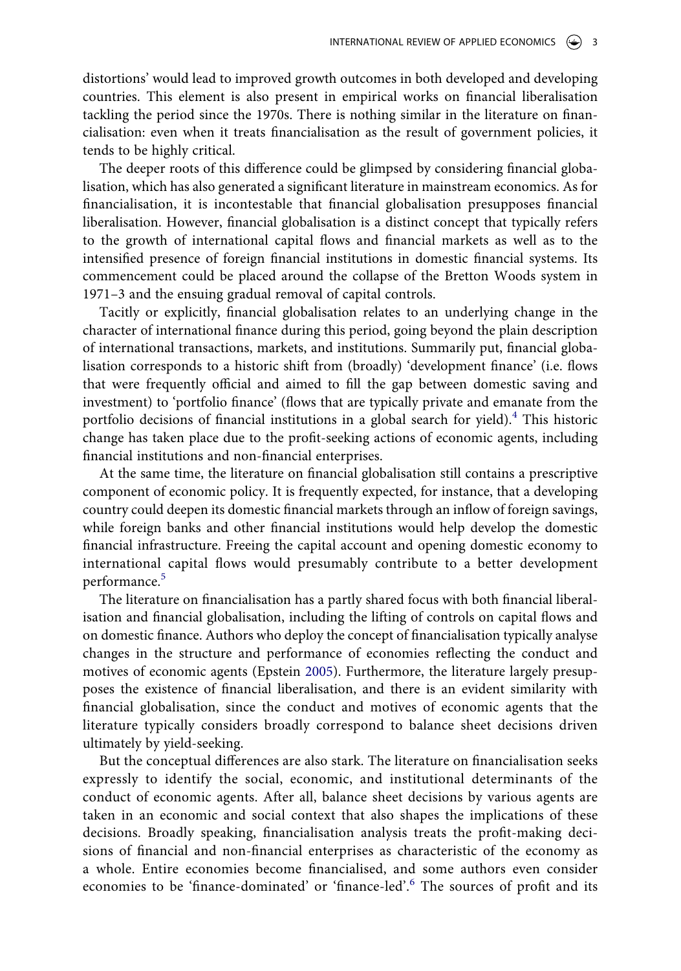distortions' would lead to improved growth outcomes in both developed and developing countries. This element is also present in empirical works on financial liberalisation tackling the period since the 1970s. There is nothing similar in the literature on financialisation: even when it treats financialisation as the result of government policies, it tends to be highly critical.

The deeper roots of this difference could be glimpsed by considering financial globalisation, which has also generated a significant literature in mainstream economics. As for financialisation, it is incontestable that financial globalisation presupposes financial liberalisation. However, financial globalisation is a distinct concept that typically refers to the growth of international capital flows and financial markets as well as to the intensified presence of foreign financial institutions in domestic financial systems. Its commencement could be placed around the collapse of the Bretton Woods system in 1971–3 and the ensuing gradual removal of capital controls.

Tacitly or explicitly, financial globalisation relates to an underlying change in the character of international finance during this period, going beyond the plain description of international transactions, markets, and institutions. Summarily put, financial globalisation corresponds to a historic shift from (broadly) 'development finance' (i.e. flows that were frequently official and aimed to fill the gap between domestic saving and investment) to 'portfolio finance' (flows that are typically private and emanate from the portfolio decisions of financial institutions in a global search for yield).<sup>4</sup> This historic change has taken place due to the profit-seeking actions of economic agents, including financial institutions and non-financial enterprises.

At the same time, the literature on financial globalisation still contains a prescriptive component of economic policy. It is frequently expected, for instance, that a developing country could deepen its domestic financial markets through an inflow of foreign savings, while foreign banks and other financial institutions would help develop the domestic financial infrastructure. Freeing the capital account and opening domestic economy to international capital flows would presumably contribute to a better development performance.<sup>5</sup>

<span id="page-3-0"></span>The literature on financialisation has a partly shared focus with both financial liberalisation and financial globalisation, including the lifting of controls on capital flows and on domestic finance. Authors who deploy the concept of financialisation typically analyse changes in the structure and performance of economies reflecting the conduct and motives of economic agents (Epstein [2005](#page-21-0)). Furthermore, the literature largely presupposes the existence of financial liberalisation, and there is an evident similarity with financial globalisation, since the conduct and motives of economic agents that the literature typically considers broadly correspond to balance sheet decisions driven ultimately by yield-seeking.

But the conceptual differences are also stark. The literature on financialisation seeks expressly to identify the social, economic, and institutional determinants of the conduct of economic agents. After all, balance sheet decisions by various agents are taken in an economic and social context that also shapes the implications of these decisions. Broadly speaking, financialisation analysis treats the profit-making decisions of financial and non-financial enterprises as characteristic of the economy as a whole. Entire economies become financialised, and some authors even consider economies to be 'finance-dominated' or 'finance-led'.[6](#page-18-2) The sources of profit and its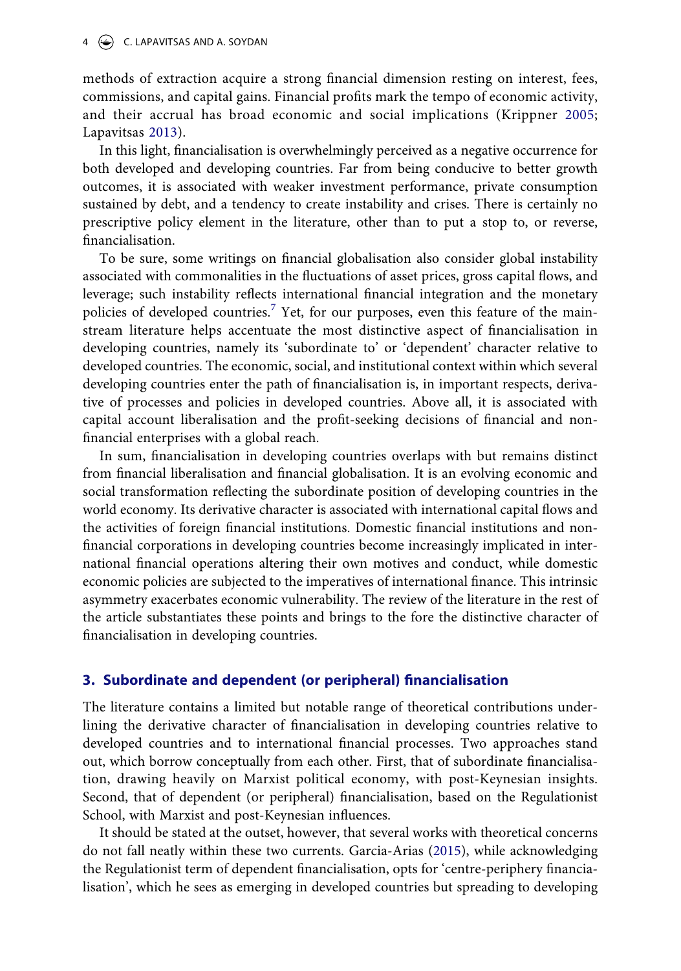#### 4  $\bigodot$  C. LAPAVITSAS AND A. SOYDAN

<span id="page-4-2"></span>methods of extraction acquire a strong financial dimension resting on interest, fees, commissions, and capital gains. Financial profits mark the tempo of economic activity, and their accrual has broad economic and social implications (Krippner [2005;](#page-22-0) Lapavitsas [2013\)](#page-22-1).

<span id="page-4-3"></span>In this light, financialisation is overwhelmingly perceived as a negative occurrence for both developed and developing countries. Far from being conducive to better growth outcomes, it is associated with weaker investment performance, private consumption sustained by debt, and a tendency to create instability and crises. There is certainly no prescriptive policy element in the literature, other than to put a stop to, or reverse, financialisation.

To be sure, some writings on financial globalisation also consider global instability associated with commonalities in the fluctuations of asset prices, gross capital flows, and leverage; such instability reflects international financial integration and the monetary policies of developed countries.<sup>7</sup> Yet, for our purposes, even this feature of the mainstream literature helps accentuate the most distinctive aspect of financialisation in developing countries, namely its 'subordinate to' or 'dependent' character relative to developed countries. The economic, social, and institutional context within which several developing countries enter the path of financialisation is, in important respects, derivative of processes and policies in developed countries. Above all, it is associated with capital account liberalisation and the profit-seeking decisions of financial and nonfinancial enterprises with a global reach.

In sum, financialisation in developing countries overlaps with but remains distinct from financial liberalisation and financial globalisation. It is an evolving economic and social transformation reflecting the subordinate position of developing countries in the world economy. Its derivative character is associated with international capital flows and the activities of foreign financial institutions. Domestic financial institutions and nonfinancial corporations in developing countries become increasingly implicated in international financial operations altering their own motives and conduct, while domestic economic policies are subjected to the imperatives of international finance. This intrinsic asymmetry exacerbates economic vulnerability. The review of the literature in the rest of the article substantiates these points and brings to the fore the distinctive character of financialisation in developing countries.

### <span id="page-4-0"></span>**3. Subordinate and dependent (or peripheral) financialisation**

The literature contains a limited but notable range of theoretical contributions underlining the derivative character of financialisation in developing countries relative to developed countries and to international financial processes. Two approaches stand out, which borrow conceptually from each other. First, that of subordinate financialisation, drawing heavily on Marxist political economy, with post-Keynesian insights. Second, that of dependent (or peripheral) financialisation, based on the Regulationist School, with Marxist and post-Keynesian influences.

<span id="page-4-1"></span>It should be stated at the outset, however, that several works with theoretical concerns do not fall neatly within these two currents. Garcia-Arias ([2015](#page-21-1)), while acknowledging the Regulationist term of dependent financialisation, opts for 'centre-periphery financialisation', which he sees as emerging in developed countries but spreading to developing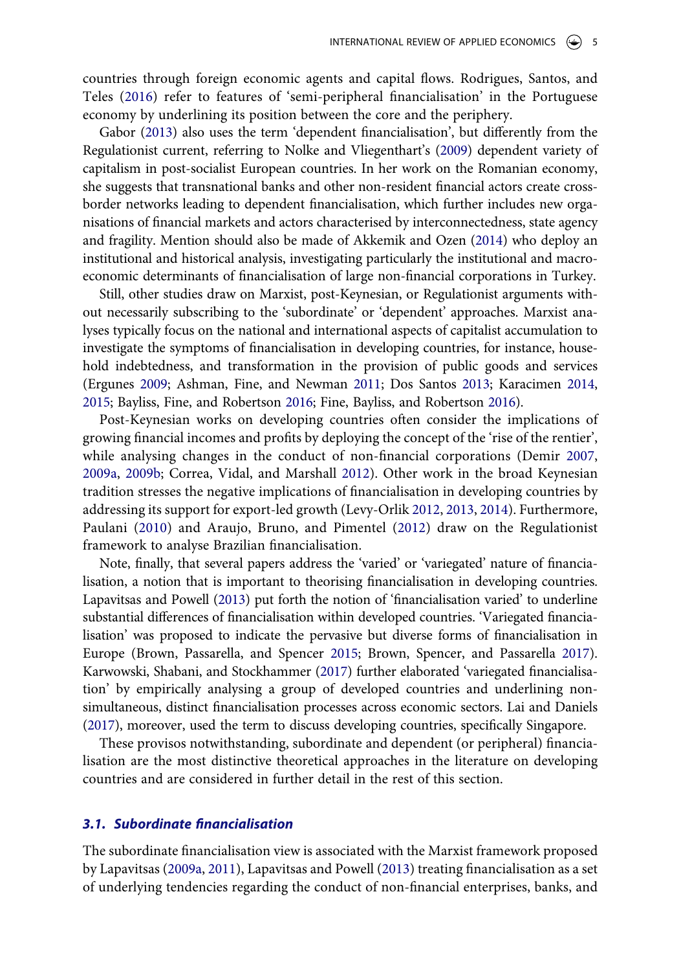<span id="page-5-13"></span>countries through foreign economic agents and capital flows. Rodrigues, Santos, and Teles [\(2016\)](#page-24-1) refer to features of 'semi-peripheral financialisation' in the Portuguese economy by underlining its position between the core and the periphery.

<span id="page-5-12"></span><span id="page-5-7"></span>Gabor [\(2013\)](#page-21-2) also uses the term 'dependent financialisation', but differently from the Regulationist current, referring to Nolke and Vliegenthart's [\(2009\)](#page-23-0) dependent variety of capitalism in post-socialist European countries. In her work on the Romanian economy, she suggests that transnational banks and other non-resident financial actors create crossborder networks leading to dependent financialisation, which further includes new organisations of financial markets and actors characterised by interconnectedness, state agency and fragility. Mention should also be made of Akkemik and Ozen ([2014](#page-18-4)) who deploy an institutional and historical analysis, investigating particularly the institutional and macroeconomic determinants of financialisation of large non-financial corporations in Turkey.

<span id="page-5-0"></span>Still, other studies draw on Marxist, post-Keynesian, or Regulationist arguments without necessarily subscribing to the 'subordinate' or 'dependent' approaches. Marxist analyses typically focus on the national and international aspects of capitalist accumulation to investigate the symptoms of financialisation in developing countries, for instance, household indebtedness, and transformation in the provision of public goods and services (Ergunes [2009](#page-21-3); Ashman, Fine, and Newman [2011](#page-19-0); Dos Santos [2013;](#page-21-4) Karacimen [2014,](#page-22-2) [2015;](#page-22-3) Bayliss, Fine, and Robertson [2016;](#page-19-1) Fine, Bayliss, and Robertson [2016\)](#page-21-5).

<span id="page-5-6"></span><span id="page-5-5"></span><span id="page-5-3"></span><span id="page-5-2"></span>Post-Keynesian works on developing countries often consider the implications of growing financial incomes and profits by deploying the concept of the 'rise of the rentier', while analysing changes in the conduct of non-financial corporations (Demir [2007,](#page-20-1) [2009a,](#page-20-2) [2009b](#page-20-3); Correa, Vidal, and Marshall [2012\)](#page-20-4). Other work in the broad Keynesian tradition stresses the negative implications of financialisation in developing countries by addressing its support for export-led growth (Levy-Orlik [2012,](#page-23-1) [2013,](#page-23-2) [2014](#page-23-3)). Furthermore, Paulani ([2010](#page-24-2)) and Araujo, Bruno, and Pimentel [\(2012\)](#page-19-2) draw on the Regulationist framework to analyse Brazilian financialisation.

<span id="page-5-11"></span><span id="page-5-4"></span><span id="page-5-1"></span>Note, finally, that several papers address the 'varied' or 'variegated' nature of financialisation, a notion that is important to theorising financialisation in developing countries. Lapavitsas and Powell [\(2013\)](#page-23-4) put forth the notion of 'financialisation varied' to underline substantial differences of financialisation within developed countries. 'Variegated financialisation' was proposed to indicate the pervasive but diverse forms of financialisation in Europe (Brown, Passarella, and Spencer [2015](#page-20-5); Brown, Spencer, and Passarella [2017](#page-20-6)). Karwowski, Shabani, and Stockhammer [\(2017\)](#page-22-4) further elaborated 'variegated financialisation' by empirically analysing a group of developed countries and underlining nonsimultaneous, distinct financialisation processes across economic sectors. Lai and Daniels [\(2017](#page-22-5)), moreover, used the term to discuss developing countries, specifically Singapore.

<span id="page-5-9"></span><span id="page-5-8"></span>These provisos notwithstanding, subordinate and dependent (or peripheral) financialisation are the most distinctive theoretical approaches in the literature on developing countries and are considered in further detail in the rest of this section.

#### *3.1. Subordinate financialisation*

<span id="page-5-10"></span>The subordinate financialisation view is associated with the Marxist framework proposed by Lapavitsas ([2009a](#page-22-6), [2011](#page-22-7)), Lapavitsas and Powell ([2013\)](#page-23-4) treating financialisation as a set of underlying tendencies regarding the conduct of non-financial enterprises, banks, and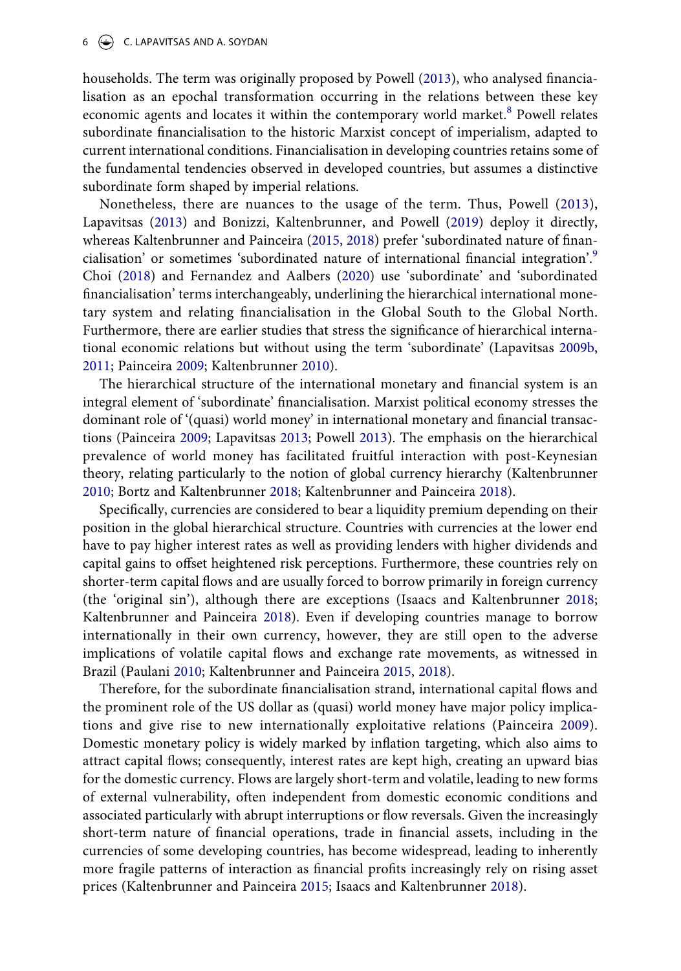#### $6 \quad \Leftrightarrow$  C. LAPAVITSAS AND A. SOYDAN

households. The term was originally proposed by Powell ([2013\)](#page-24-3), who analysed financialisation as an epochal transformation occurring in the relations between these key economic agents and locates it within the contemporary world market.<sup>8</sup> Powell relates subordinate financialisation to the historic Marxist concept of imperialism, adapted to current international conditions. Financialisation in developing countries retains some of the fundamental tendencies observed in developed countries, but assumes a distinctive subordinate form shaped by imperial relations.

<span id="page-6-2"></span><span id="page-6-0"></span>Nonetheless, there are nuances to the usage of the term. Thus, Powell [\(2013\)](#page-24-3), Lapavitsas ([2013](#page-22-1)) and Bonizzi, Kaltenbrunner, and Powell ([2019\)](#page-20-7) deploy it directly, whereas Kaltenbrunner and Painceira ([2015](#page-22-8), [2018](#page-22-9)) prefer 'subordinated nature of financialisation' or sometimes 'subordinated nature of international financial integration'[.9](#page-18-6) Choi ([2018](#page-20-8)) and Fernandez and Aalbers ([2020\)](#page-21-6) use 'subordinate' and 'subordinated financialisation' terms interchangeably, underlining the hierarchical international monetary system and relating financialisation in the Global South to the Global North. Furthermore, there are earlier studies that stress the significance of hierarchical international economic relations but without using the term 'subordinate' (Lapavitsas [2009b,](#page-22-10) [2011](#page-22-7); Painceira [2009;](#page-23-5) Kaltenbrunner [2010\)](#page-22-11).

<span id="page-6-8"></span><span id="page-6-6"></span>The hierarchical structure of the international monetary and financial system is an integral element of 'subordinate' financialisation. Marxist political economy stresses the dominant role of '(quasi) world money' in international monetary and financial transactions (Painceira [2009;](#page-23-5) Lapavitsas [2013](#page-22-1); Powell [2013\)](#page-24-3). The emphasis on the hierarchical prevalence of world money has facilitated fruitful interaction with post-Keynesian theory, relating particularly to the notion of global currency hierarchy (Kaltenbrunner [2010](#page-22-11); Bortz and Kaltenbrunner [2018;](#page-20-9) Kaltenbrunner and Painceira [2018\)](#page-22-9).

<span id="page-6-4"></span><span id="page-6-1"></span>Specifically, currencies are considered to bear a liquidity premium depending on their position in the global hierarchical structure. Countries with currencies at the lower end have to pay higher interest rates as well as providing lenders with higher dividends and capital gains to offset heightened risk perceptions. Furthermore, these countries rely on shorter-term capital flows and are usually forced to borrow primarily in foreign currency (the 'original sin'), although there are exceptions (Isaacs and Kaltenbrunner [2018;](#page-21-7) Kaltenbrunner and Painceira [2018](#page-22-9)). Even if developing countries manage to borrow internationally in their own currency, however, they are still open to the adverse implications of volatile capital flows and exchange rate movements, as witnessed in Brazil (Paulani [2010](#page-24-2); Kaltenbrunner and Painceira [2015](#page-22-8), [2018\)](#page-22-9).

<span id="page-6-7"></span><span id="page-6-5"></span><span id="page-6-3"></span>Therefore, for the subordinate financialisation strand, international capital flows and the prominent role of the US dollar as (quasi) world money have major policy implications and give rise to new internationally exploitative relations (Painceira [2009\)](#page-23-5). Domestic monetary policy is widely marked by inflation targeting, which also aims to attract capital flows; consequently, interest rates are kept high, creating an upward bias for the domestic currency. Flows are largely short-term and volatile, leading to new forms of external vulnerability, often independent from domestic economic conditions and associated particularly with abrupt interruptions or flow reversals. Given the increasingly short-term nature of financial operations, trade in financial assets, including in the currencies of some developing countries, has become widespread, leading to inherently more fragile patterns of interaction as financial profits increasingly rely on rising asset prices (Kaltenbrunner and Painceira [2015](#page-22-8); Isaacs and Kaltenbrunner [2018\)](#page-21-7).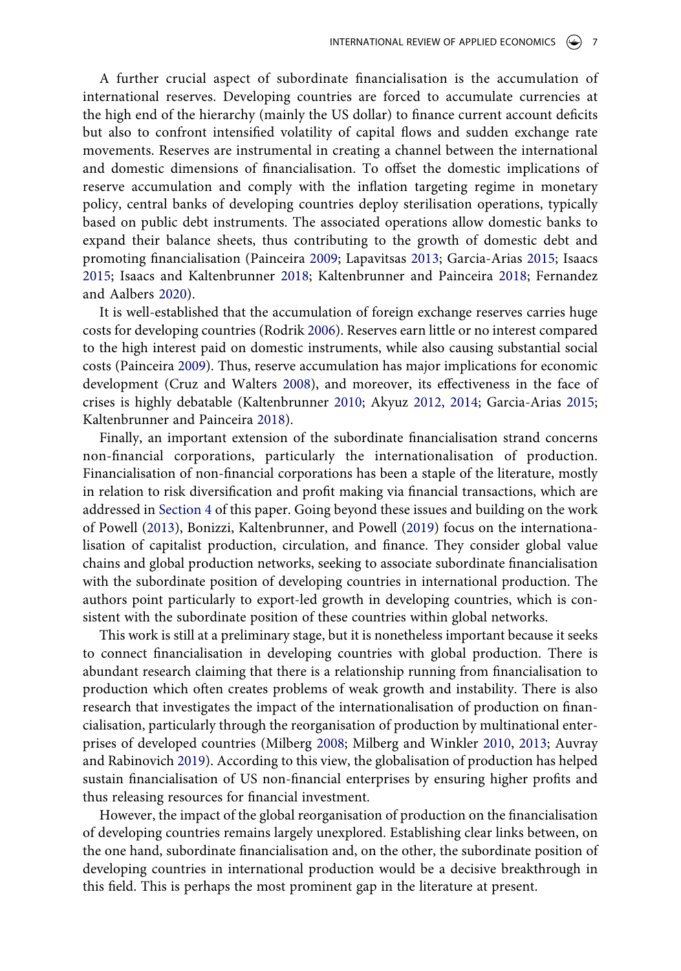A further crucial aspect of subordinate financialisation is the accumulation of international reserves. Developing countries are forced to accumulate currencies at the high end of the hierarchy (mainly the US dollar) to finance current account deficits but also to confront intensified volatility of capital flows and sudden exchange rate movements. Reserves are instrumental in creating a channel between the international and domestic dimensions of financialisation. To offset the domestic implications of reserve accumulation and comply with the inflation targeting regime in monetary policy, central banks of developing countries deploy sterilisation operations, typically based on public debt instruments. The associated operations allow domestic banks to expand their balance sheets, thus contributing to the growth of domestic debt and promoting financialisation (Painceira [2009;](#page-23-5) Lapavitsas [2013](#page-22-1); Garcia-Arias [2015](#page-21-1); Isaacs [2015](#page-21-8); Isaacs and Kaltenbrunner [2018;](#page-21-7) Kaltenbrunner and Painceira [2018;](#page-22-9) Fernandez and Aalbers [2020](#page-21-6)).

<span id="page-7-5"></span><span id="page-7-3"></span>It is well-established that the accumulation of foreign exchange reserves carries huge costs for developing countries (Rodrik [2006](#page-24-4)). Reserves earn little or no interest compared to the high interest paid on domestic instruments, while also causing substantial social costs (Painceira [2009](#page-23-5)). Thus, reserve accumulation has major implications for economic development (Cruz and Walters [2008](#page-20-10)), and moreover, its effectiveness in the face of crises is highly debatable (Kaltenbrunner [2010](#page-22-11); Akyuz [2012,](#page-18-7) [2014](#page-18-8); Garcia-Arias [2015;](#page-21-1) Kaltenbrunner and Painceira [2018\)](#page-22-9).

<span id="page-7-2"></span><span id="page-7-0"></span>Finally, an important extension of the subordinate financialisation strand concerns non-financial corporations, particularly the internationalisation of production. Financialisation of non-financial corporations has been a staple of the literature, mostly in relation to risk diversification and profit making via financial transactions, which are addressed in [Section 4](#page-9-0) of this paper. Going beyond these issues and building on the work of Powell [\(2013\)](#page-24-3), Bonizzi, Kaltenbrunner, and Powell ([2019\)](#page-20-7) focus on the internationalisation of capitalist production, circulation, and finance. They consider global value chains and global production networks, seeking to associate subordinate financialisation with the subordinate position of developing countries in international production. The authors point particularly to export-led growth in developing countries, which is consistent with the subordinate position of these countries within global networks.

This work is still at a preliminary stage, but it is nonetheless important because it seeks to connect financialisation in developing countries with global production. There is abundant research claiming that there is a relationship running from financialisation to production which often creates problems of weak growth and instability. There is also research that investigates the impact of the internationalisation of production on financialisation, particularly through the reorganisation of production by multinational enterprises of developed countries (Milberg [2008;](#page-23-6) Milberg and Winkler [2010](#page-23-7), [2013](#page-23-8); Auvray and Rabinovich [2019\)](#page-19-3). According to this view, the globalisation of production has helped sustain financialisation of US non-financial enterprises by ensuring higher profits and thus releasing resources for financial investment.

<span id="page-7-4"></span><span id="page-7-1"></span>However, the impact of the global reorganisation of production on the financialisation of developing countries remains largely unexplored. Establishing clear links between, on the one hand, subordinate financialisation and, on the other, the subordinate position of developing countries in international production would be a decisive breakthrough in this field. This is perhaps the most prominent gap in the literature at present.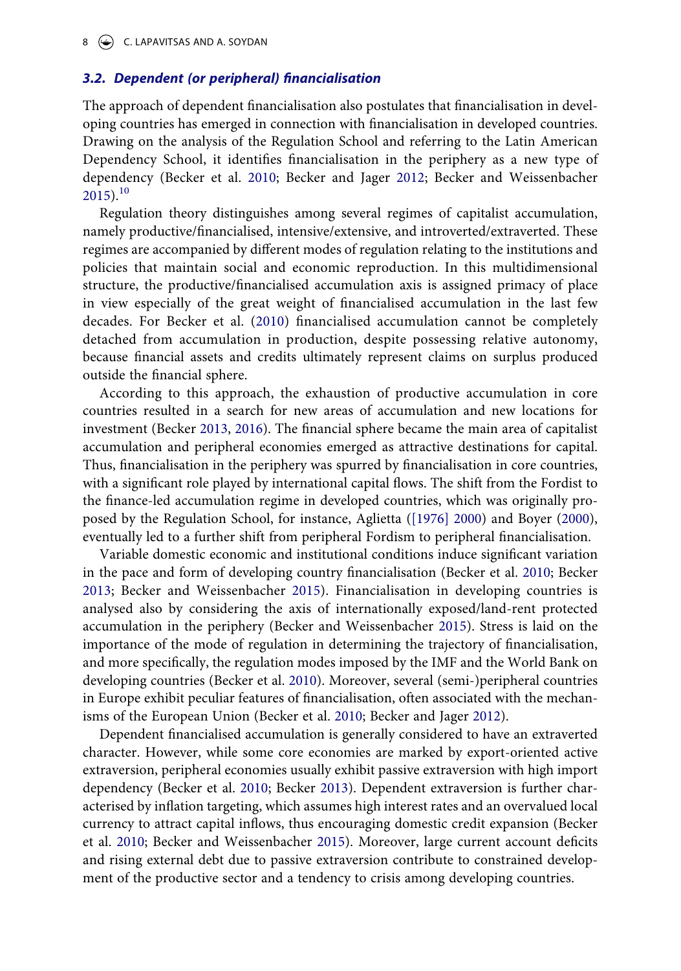#### 8  $\leftrightarrow$  C. LAPAVITSAS AND A. SOYDAN

#### *3.2. Dependent (or peripheral) financialisation*

The approach of dependent financialisation also postulates that financialisation in developing countries has emerged in connection with financialisation in developed countries. Drawing on the analysis of the Regulation School and referring to the Latin American Dependency School, it identifies financialisation in the periphery as a new type of dependency (Becker et al. [2010](#page-19-4); Becker and Jager [2012;](#page-19-5) Becker and Weissenbacher  $2015$ ).<sup>[10](#page-18-9)</sup>

Regulation theory distinguishes among several regimes of capitalist accumulation, namely productive/financialised, intensive/extensive, and introverted/extraverted. These regimes are accompanied by different modes of regulation relating to the institutions and policies that maintain social and economic reproduction. In this multidimensional structure, the productive/financialised accumulation axis is assigned primacy of place in view especially of the great weight of financialised accumulation in the last few decades. For Becker et al. [\(2010](#page-19-4)) financialised accumulation cannot be completely detached from accumulation in production, despite possessing relative autonomy, because financial assets and credits ultimately represent claims on surplus produced outside the financial sphere.

<span id="page-8-2"></span>According to this approach, the exhaustion of productive accumulation in core countries resulted in a search for new areas of accumulation and new locations for investment (Becker [2013](#page-19-7), [2016](#page-19-8)). The financial sphere became the main area of capitalist accumulation and peripheral economies emerged as attractive destinations for capital. Thus, financialisation in the periphery was spurred by financialisation in core countries, with a significant role played by international capital flows. The shift from the Fordist to the finance-led accumulation regime in developed countries, which was originally proposed by the Regulation School, for instance, Aglietta [\(\[1976\] 2000](#page-18-10)) and Boyer ([2000](#page-20-11)), eventually led to a further shift from peripheral Fordism to peripheral financialisation.

<span id="page-8-0"></span>Variable domestic economic and institutional conditions induce significant variation in the pace and form of developing country financialisation (Becker et al. [2010;](#page-19-4) Becker [2013;](#page-19-7) Becker and Weissenbacher [2015](#page-19-6)). Financialisation in developing countries is analysed also by considering the axis of internationally exposed/land-rent protected accumulation in the periphery (Becker and Weissenbacher [2015](#page-19-6)). Stress is laid on the importance of the mode of regulation in determining the trajectory of financialisation, and more specifically, the regulation modes imposed by the IMF and the World Bank on developing countries (Becker et al. [2010\)](#page-19-4). Moreover, several (semi-)peripheral countries in Europe exhibit peculiar features of financialisation, often associated with the mechanisms of the European Union (Becker et al. [2010;](#page-19-4) Becker and Jager [2012\)](#page-19-5).

<span id="page-8-4"></span><span id="page-8-3"></span><span id="page-8-1"></span>Dependent financialised accumulation is generally considered to have an extraverted character. However, while some core economies are marked by export-oriented active extraversion, peripheral economies usually exhibit passive extraversion with high import dependency (Becker et al. [2010](#page-19-4); Becker [2013](#page-19-7)). Dependent extraversion is further characterised by inflation targeting, which assumes high interest rates and an overvalued local currency to attract capital inflows, thus encouraging domestic credit expansion (Becker et al. [2010;](#page-19-4) Becker and Weissenbacher [2015\)](#page-19-6). Moreover, large current account deficits and rising external debt due to passive extraversion contribute to constrained development of the productive sector and a tendency to crisis among developing countries.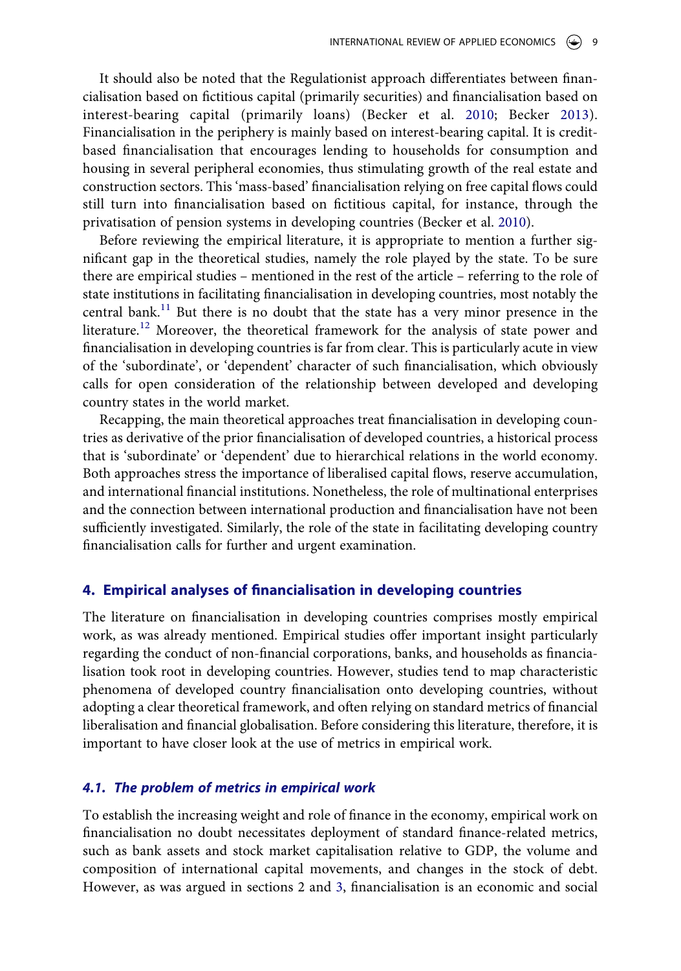It should also be noted that the Regulationist approach differentiates between financialisation based on fictitious capital (primarily securities) and financialisation based on interest-bearing capital (primarily loans) (Becker et al. [2010](#page-19-4); Becker [2013\)](#page-19-7). Financialisation in the periphery is mainly based on interest-bearing capital. It is creditbased financialisation that encourages lending to households for consumption and housing in several peripheral economies, thus stimulating growth of the real estate and construction sectors. This 'mass-based' financialisation relying on free capital flows could still turn into financialisation based on fictitious capital, for instance, through the privatisation of pension systems in developing countries (Becker et al. [2010](#page-19-4)).

Before reviewing the empirical literature, it is appropriate to mention a further significant gap in the theoretical studies, namely the role played by the state. To be sure there are empirical studies – mentioned in the rest of the article – referring to the role of state institutions in facilitating financialisation in developing countries, most notably the central bank.<sup>11</sup> But there is no doubt that the state has a very minor presence in the literature.<sup>12</sup> Moreover, the theoretical framework for the analysis of state power and financialisation in developing countries is far from clear. This is particularly acute in view of the 'subordinate', or 'dependent' character of such financialisation, which obviously calls for open consideration of the relationship between developed and developing country states in the world market.

Recapping, the main theoretical approaches treat financialisation in developing countries as derivative of the prior financialisation of developed countries, a historical process that is 'subordinate' or 'dependent' due to hierarchical relations in the world economy. Both approaches stress the importance of liberalised capital flows, reserve accumulation, and international financial institutions. Nonetheless, the role of multinational enterprises and the connection between international production and financialisation have not been sufficiently investigated. Similarly, the role of the state in facilitating developing country financialisation calls for further and urgent examination.

#### <span id="page-9-0"></span>**4. Empirical analyses of financialisation in developing countries**

The literature on financialisation in developing countries comprises mostly empirical work, as was already mentioned. Empirical studies offer important insight particularly regarding the conduct of non-financial corporations, banks, and households as financialisation took root in developing countries. However, studies tend to map characteristic phenomena of developed country financialisation onto developing countries, without adopting a clear theoretical framework, and often relying on standard metrics of financial liberalisation and financial globalisation. Before considering this literature, therefore, it is important to have closer look at the use of metrics in empirical work.

#### *4.1. The problem of metrics in empirical work*

To establish the increasing weight and role of finance in the economy, empirical work on financialisation no doubt necessitates deployment of standard finance-related metrics, such as bank assets and stock market capitalisation relative to GDP, the volume and composition of international capital movements, and changes in the stock of debt. However, as was argued in sections 2 and [3](#page-4-0), financialisation is an economic and social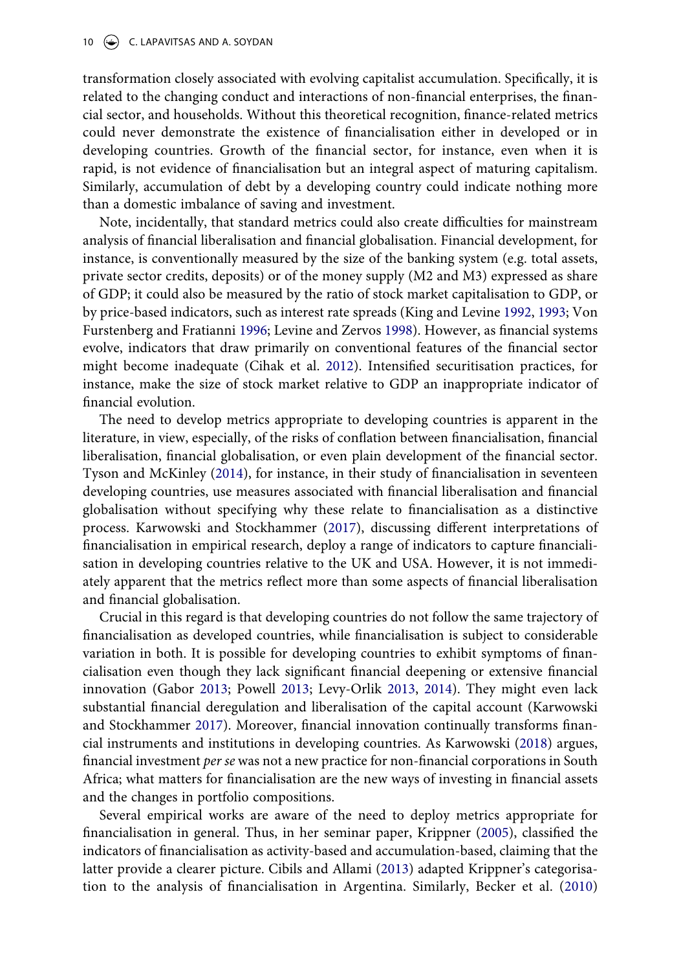transformation closely associated with evolving capitalist accumulation. Specifically, it is related to the changing conduct and interactions of non-financial enterprises, the financial sector, and households. Without this theoretical recognition, finance-related metrics could never demonstrate the existence of financialisation either in developed or in developing countries. Growth of the financial sector, for instance, even when it is rapid, is not evidence of financialisation but an integral aspect of maturing capitalism. Similarly, accumulation of debt by a developing country could indicate nothing more than a domestic imbalance of saving and investment.

<span id="page-10-4"></span>Note, incidentally, that standard metrics could also create difficulties for mainstream analysis of financial liberalisation and financial globalisation. Financial development, for instance, is conventionally measured by the size of the banking system (e.g. total assets, private sector credits, deposits) or of the money supply (M2 and M3) expressed as share of GDP; it could also be measured by the ratio of stock market capitalisation to GDP, or by price-based indicators, such as interest rate spreads (King and Levine [1992](#page-22-12), [1993;](#page-22-13) Von Furstenberg and Fratianni [1996;](#page-24-5) Levine and Zervos [1998\)](#page-23-9). However, as financial systems evolve, indicators that draw primarily on conventional features of the financial sector might become inadequate (Cihak et al. [2012](#page-20-12)). Intensified securitisation practices, for instance, make the size of stock market relative to GDP an inappropriate indicator of financial evolution.

<span id="page-10-6"></span><span id="page-10-5"></span><span id="page-10-1"></span>The need to develop metrics appropriate to developing countries is apparent in the literature, in view, especially, of the risks of conflation between financialisation, financial liberalisation, financial globalisation, or even plain development of the financial sector. Tyson and McKinley [\(2014](#page-24-6)), for instance, in their study of financialisation in seventeen developing countries, use measures associated with financial liberalisation and financial globalisation without specifying why these relate to financialisation as a distinctive process. Karwowski and Stockhammer ([2017](#page-22-14)), discussing different interpretations of financialisation in empirical research, deploy a range of indicators to capture financialisation in developing countries relative to the UK and USA. However, it is not immediately apparent that the metrics reflect more than some aspects of financial liberalisation and financial globalisation.

Crucial in this regard is that developing countries do not follow the same trajectory of financialisation as developed countries, while financialisation is subject to considerable variation in both. It is possible for developing countries to exhibit symptoms of financialisation even though they lack significant financial deepening or extensive financial innovation (Gabor [2013](#page-21-2); Powell [2013](#page-24-3); Levy-Orlik [2013,](#page-23-2) [2014\)](#page-23-3). They might even lack substantial financial deregulation and liberalisation of the capital account (Karwowski and Stockhammer [2017\)](#page-22-14). Moreover, financial innovation continually transforms financial instruments and institutions in developing countries. As Karwowski [\(2018\)](#page-22-15) argues, financial investment *per se* was not a new practice for non-financial corporations in South Africa; what matters for financialisation are the new ways of investing in financial assets and the changes in portfolio compositions.

<span id="page-10-3"></span><span id="page-10-2"></span><span id="page-10-0"></span>Several empirical works are aware of the need to deploy metrics appropriate for financialisation in general. Thus, in her seminar paper, Krippner ([2005\)](#page-22-0), classified the indicators of financialisation as activity-based and accumulation-based, claiming that the latter provide a clearer picture. Cibils and Allami [\(2013](#page-20-13)) adapted Krippner's categorisation to the analysis of financialisation in Argentina. Similarly, Becker et al. ([2010\)](#page-19-4)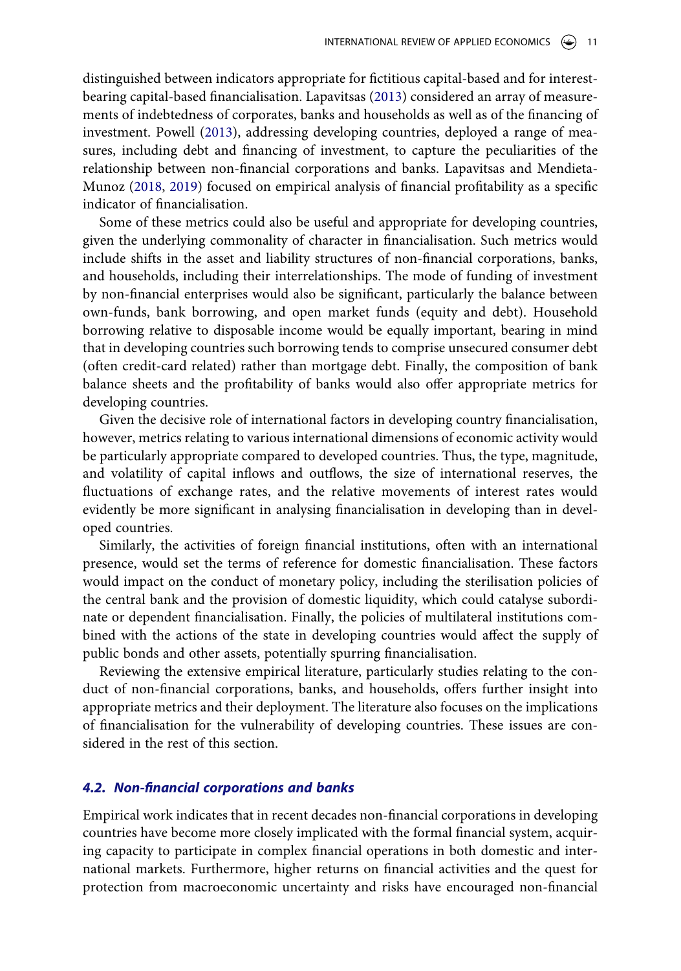distinguished between indicators appropriate for fictitious capital-based and for interestbearing capital-based financialisation. Lapavitsas [\(2013](#page-22-1)) considered an array of measurements of indebtedness of corporates, banks and households as well as of the financing of investment. Powell [\(2013\)](#page-24-3), addressing developing countries, deployed a range of measures, including debt and financing of investment, to capture the peculiarities of the relationship between non-financial corporations and banks. Lapavitsas and Mendieta-Munoz [\(2018](#page-22-16), [2019](#page-23-10)) focused on empirical analysis of financial profitability as a specific indicator of financialisation.

<span id="page-11-0"></span>Some of these metrics could also be useful and appropriate for developing countries, given the underlying commonality of character in financialisation. Such metrics would include shifts in the asset and liability structures of non-financial corporations, banks, and households, including their interrelationships. The mode of funding of investment by non-financial enterprises would also be significant, particularly the balance between own-funds, bank borrowing, and open market funds (equity and debt). Household borrowing relative to disposable income would be equally important, bearing in mind that in developing countries such borrowing tends to comprise unsecured consumer debt (often credit-card related) rather than mortgage debt. Finally, the composition of bank balance sheets and the profitability of banks would also offer appropriate metrics for developing countries.

Given the decisive role of international factors in developing country financialisation, however, metrics relating to various international dimensions of economic activity would be particularly appropriate compared to developed countries. Thus, the type, magnitude, and volatility of capital inflows and outflows, the size of international reserves, the fluctuations of exchange rates, and the relative movements of interest rates would evidently be more significant in analysing financialisation in developing than in developed countries.

Similarly, the activities of foreign financial institutions, often with an international presence, would set the terms of reference for domestic financialisation. These factors would impact on the conduct of monetary policy, including the sterilisation policies of the central bank and the provision of domestic liquidity, which could catalyse subordinate or dependent financialisation. Finally, the policies of multilateral institutions combined with the actions of the state in developing countries would affect the supply of public bonds and other assets, potentially spurring financialisation.

Reviewing the extensive empirical literature, particularly studies relating to the conduct of non-financial corporations, banks, and households, offers further insight into appropriate metrics and their deployment. The literature also focuses on the implications of financialisation for the vulnerability of developing countries. These issues are considered in the rest of this section.

## *4.2. Non-financial corporations and banks*

Empirical work indicates that in recent decades non-financial corporations in developing countries have become more closely implicated with the formal financial system, acquiring capacity to participate in complex financial operations in both domestic and international markets. Furthermore, higher returns on financial activities and the quest for protection from macroeconomic uncertainty and risks have encouraged non-financial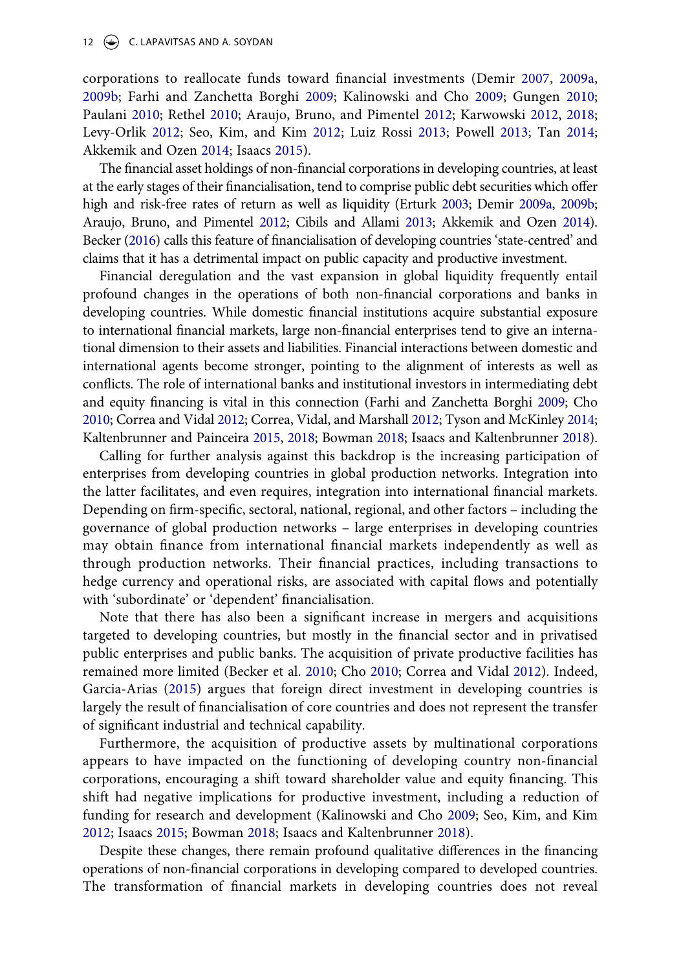<span id="page-12-6"></span><span id="page-12-4"></span>corporations to reallocate funds toward financial investments (Demir [2007](#page-20-1), [2009a,](#page-20-2) [2009b;](#page-20-3) Farhi and Zanchetta Borghi [2009;](#page-21-9) Kalinowski and Cho [2009;](#page-21-10) Gungen [2010;](#page-21-11) Paulani [2010;](#page-24-2) Rethel [2010](#page-24-7); Araujo, Bruno, and Pimentel [2012;](#page-19-2) Karwowski [2012,](#page-22-17) [2018;](#page-22-15) Levy-Orlik [2012](#page-23-1); Seo, Kim, and Kim [2012;](#page-24-8) Luiz Rossi [2013](#page-23-11); Powell [2013;](#page-24-3) Tan [2014;](#page-24-9) Akkemik and Ozen [2014](#page-18-4); Isaacs [2015](#page-21-8)).

<span id="page-12-7"></span><span id="page-12-2"></span>The financial asset holdings of non-financial corporations in developing countries, at least at the early stages of their financialisation, tend to comprise public debt securities which offer high and risk-free rates of return as well as liquidity (Erturk [2003;](#page-21-12) Demir [2009a](#page-20-2), [2009b;](#page-20-3) Araujo, Bruno, and Pimentel [2012;](#page-19-2) Cibils and Allami [2013](#page-20-13); Akkemik and Ozen [2014](#page-18-4)). Becker [\(2016\)](#page-19-8) calls this feature of financialisation of developing countries 'state-centred' and claims that it has a detrimental impact on public capacity and productive investment.

Financial deregulation and the vast expansion in global liquidity frequently entail profound changes in the operations of both non-financial corporations and banks in developing countries. While domestic financial institutions acquire substantial exposure to international financial markets, large non-financial enterprises tend to give an international dimension to their assets and liabilities. Financial interactions between domestic and international agents become stronger, pointing to the alignment of interests as well as conflicts. The role of international banks and institutional investors in intermediating debt and equity financing is vital in this connection (Farhi and Zanchetta Borghi [2009](#page-21-9); Cho [2010;](#page-20-14) Correa and Vidal [2012](#page-20-15); Correa, Vidal, and Marshall [2012](#page-20-4); Tyson and McKinley [2014;](#page-24-6) Kaltenbrunner and Painceira [2015](#page-22-8), [2018](#page-22-9); Bowman [2018;](#page-20-16) Isaacs and Kaltenbrunner [2018](#page-21-7)).

<span id="page-12-3"></span>Calling for further analysis against this backdrop is the increasing participation of enterprises from developing countries in global production networks. Integration into the latter facilitates, and even requires, integration into international financial markets. Depending on firm-specific, sectoral, national, regional, and other factors – including the governance of global production networks – large enterprises in developing countries may obtain finance from international financial markets independently as well as through production networks. Their financial practices, including transactions to hedge currency and operational risks, are associated with capital flows and potentially with 'subordinate' or 'dependent' financialisation.

<span id="page-12-1"></span>Note that there has also been a significant increase in mergers and acquisitions targeted to developing countries, but mostly in the financial sector and in privatised public enterprises and public banks. The acquisition of private productive facilities has remained more limited (Becker et al. [2010;](#page-19-4) Cho [2010;](#page-20-14) Correa and Vidal [2012](#page-20-15)). Indeed, Garcia-Arias [\(2015](#page-21-1)) argues that foreign direct investment in developing countries is largely the result of financialisation of core countries and does not represent the transfer of significant industrial and technical capability.

Furthermore, the acquisition of productive assets by multinational corporations appears to have impacted on the functioning of developing country non-financial corporations, encouraging a shift toward shareholder value and equity financing. This shift had negative implications for productive investment, including a reduction of funding for research and development (Kalinowski and Cho [2009](#page-21-10); Seo, Kim, and Kim [2012](#page-24-8); Isaacs [2015;](#page-21-8) Bowman [2018;](#page-20-16) Isaacs and Kaltenbrunner [2018](#page-21-7)).

<span id="page-12-5"></span><span id="page-12-0"></span>Despite these changes, there remain profound qualitative differences in the financing operations of non-financial corporations in developing compared to developed countries. The transformation of financial markets in developing countries does not reveal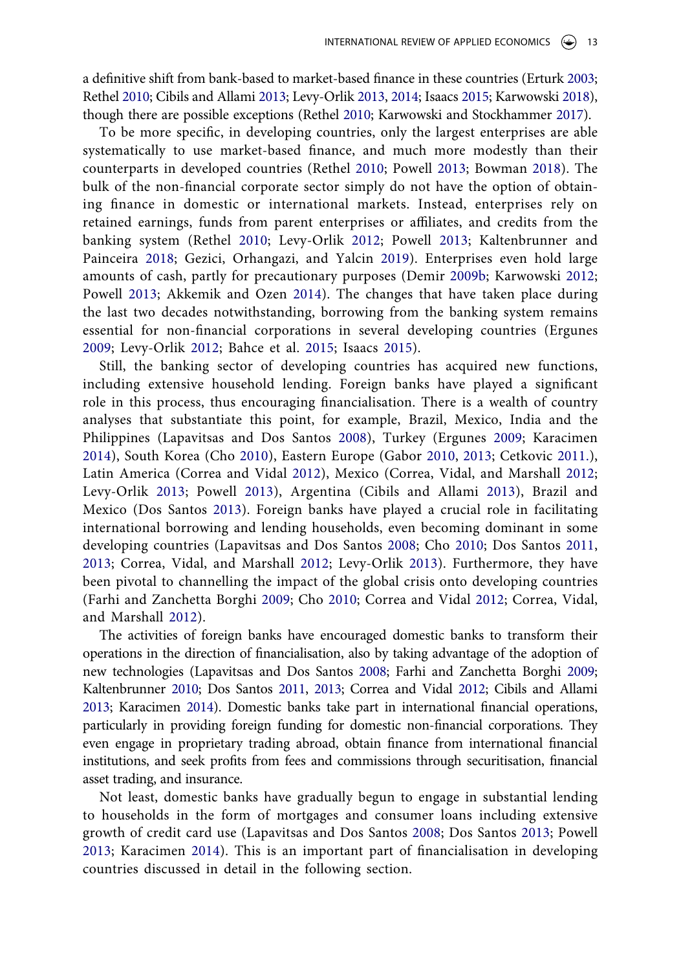a definitive shift from bank-based to market-based finance in these countries (Erturk [2003;](#page-21-12) Rethel [2010](#page-24-7); Cibils and Allami [2013](#page-20-13); Levy-Orlik [2013,](#page-23-2) [2014](#page-23-3); Isaacs [2015](#page-21-8); Karwowski [2018](#page-22-15)), though there are possible exceptions (Rethel [2010;](#page-24-7) Karwowski and Stockhammer [2017\)](#page-22-14).

To be more specific, in developing countries, only the largest enterprises are able systematically to use market-based finance, and much more modestly than their counterparts in developed countries (Rethel [2010](#page-24-7); Powell [2013;](#page-24-3) Bowman [2018](#page-20-16)). The bulk of the non-financial corporate sector simply do not have the option of obtaining finance in domestic or international markets. Instead, enterprises rely on retained earnings, funds from parent enterprises or affiliates, and credits from the banking system (Rethel [2010;](#page-24-7) Levy-Orlik [2012;](#page-23-1) Powell [2013](#page-24-3); Kaltenbrunner and Painceira [2018](#page-22-9); Gezici, Orhangazi, and Yalcin [2019\)](#page-21-13). Enterprises even hold large amounts of cash, partly for precautionary purposes (Demir [2009b](#page-20-3); Karwowski [2012;](#page-22-17) Powell [2013;](#page-24-3) Akkemik and Ozen [2014](#page-18-4)). The changes that have taken place during the last two decades notwithstanding, borrowing from the banking system remains essential for non-financial corporations in several developing countries (Ergunes [2009;](#page-21-3) Levy-Orlik [2012;](#page-23-1) Bahce et al. [2015;](#page-19-9) Isaacs [2015\)](#page-21-8).

<span id="page-13-3"></span><span id="page-13-1"></span><span id="page-13-0"></span>Still, the banking sector of developing countries has acquired new functions, including extensive household lending. Foreign banks have played a significant role in this process, thus encouraging financialisation. There is a wealth of country analyses that substantiate this point, for example, Brazil, Mexico, India and the Philippines (Lapavitsas and Dos Santos [2008\)](#page-22-18), Turkey (Ergunes [2009](#page-21-3); Karacimen [2014\)](#page-22-2), South Korea (Cho [2010](#page-20-14)), Eastern Europe (Gabor [2010,](#page-21-14) [2013](#page-21-2); Cetkovic [2011.](#page-20-17)), Latin America (Correa and Vidal [2012](#page-20-15)), Mexico (Correa, Vidal, and Marshall [2012;](#page-20-4) Levy-Orlik [2013](#page-23-2); Powell [2013](#page-24-3)), Argentina (Cibils and Allami [2013\)](#page-20-13), Brazil and Mexico (Dos Santos [2013](#page-21-4)). Foreign banks have played a crucial role in facilitating international borrowing and lending households, even becoming dominant in some developing countries (Lapavitsas and Dos Santos [2008](#page-22-18); Cho [2010;](#page-20-14) Dos Santos [2011,](#page-20-18) [2013;](#page-21-4) Correa, Vidal, and Marshall [2012](#page-20-4); Levy-Orlik [2013](#page-23-2)). Furthermore, they have been pivotal to channelling the impact of the global crisis onto developing countries (Farhi and Zanchetta Borghi [2009](#page-21-9); Cho [2010;](#page-20-14) Correa and Vidal [2012](#page-20-15); Correa, Vidal, and Marshall [2012](#page-20-4)).

<span id="page-13-2"></span>The activities of foreign banks have encouraged domestic banks to transform their operations in the direction of financialisation, also by taking advantage of the adoption of new technologies (Lapavitsas and Dos Santos [2008;](#page-22-18) Farhi and Zanchetta Borghi [2009;](#page-21-9) Kaltenbrunner [2010;](#page-22-11) Dos Santos [2011](#page-20-18), [2013](#page-21-4); Correa and Vidal [2012;](#page-20-15) Cibils and Allami [2013;](#page-20-13) Karacimen [2014\)](#page-22-2). Domestic banks take part in international financial operations, particularly in providing foreign funding for domestic non-financial corporations. They even engage in proprietary trading abroad, obtain finance from international financial institutions, and seek profits from fees and commissions through securitisation, financial asset trading, and insurance.

<span id="page-13-4"></span>Not least, domestic banks have gradually begun to engage in substantial lending to households in the form of mortgages and consumer loans including extensive growth of credit card use (Lapavitsas and Dos Santos [2008](#page-22-18); Dos Santos [2013](#page-21-4); Powell [2013;](#page-24-3) Karacimen [2014](#page-22-2)). This is an important part of financialisation in developing countries discussed in detail in the following section.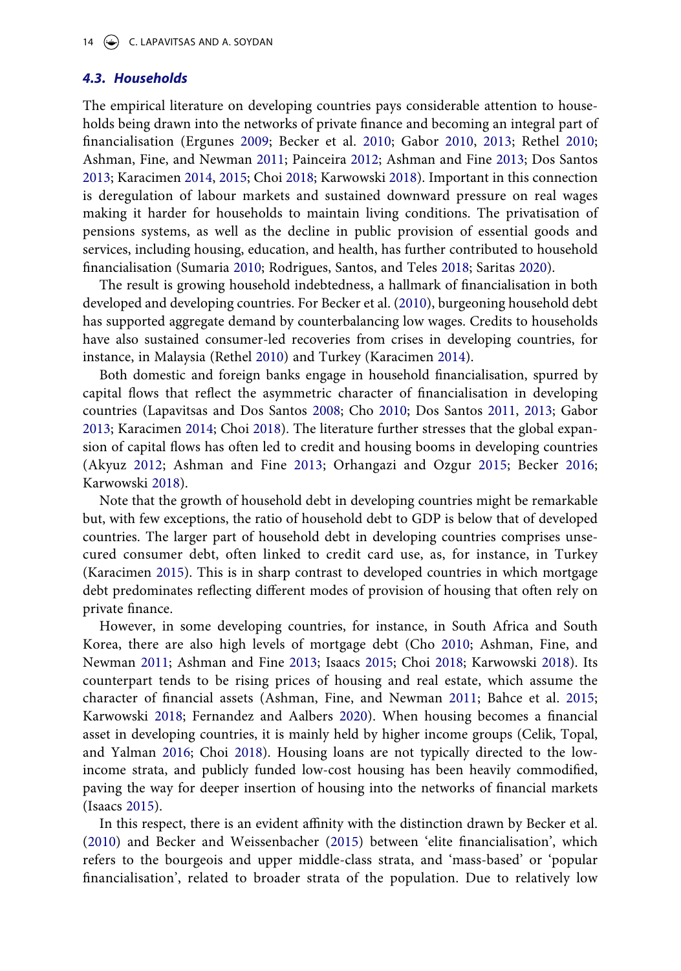#### *4.3. Households*

<span id="page-14-3"></span>The empirical literature on developing countries pays considerable attention to households being drawn into the networks of private finance and becoming an integral part of financialisation (Ergunes [2009;](#page-21-3) Becker et al. [2010;](#page-19-4) Gabor [2010](#page-21-14), [2013;](#page-21-2) Rethel [2010;](#page-24-7) Ashman, Fine, and Newman [2011](#page-19-0); Painceira [2012](#page-23-12); Ashman and Fine [2013;](#page-19-10) Dos Santos [2013](#page-21-4); Karacimen [2014,](#page-22-2) [2015](#page-22-3); Choi [2018](#page-20-8); Karwowski [2018](#page-22-15)). Important in this connection is deregulation of labour markets and sustained downward pressure on real wages making it harder for households to maintain living conditions. The privatisation of pensions systems, as well as the decline in public provision of essential goods and services, including housing, education, and health, has further contributed to household financialisation (Sumaria [2010](#page-24-10); Rodrigues, Santos, and Teles [2018;](#page-24-11) Saritas [2020](#page-24-12)).

<span id="page-14-4"></span>The result is growing household indebtedness, a hallmark of financialisation in both developed and developing countries. For Becker et al. [\(2010](#page-19-4)), burgeoning household debt has supported aggregate demand by counterbalancing low wages. Credits to households have also sustained consumer-led recoveries from crises in developing countries, for instance, in Malaysia (Rethel [2010\)](#page-24-7) and Turkey (Karacimen [2014](#page-22-2)).

Both domestic and foreign banks engage in household financialisation, spurred by capital flows that reflect the asymmetric character of financialisation in developing countries (Lapavitsas and Dos Santos [2008;](#page-22-18) Cho [2010;](#page-20-14) Dos Santos [2011,](#page-20-18) [2013](#page-21-4); Gabor [2013](#page-21-2); Karacimen [2014;](#page-22-2) Choi [2018\)](#page-20-8). The literature further stresses that the global expansion of capital flows has often led to credit and housing booms in developing countries (Akyuz [2012;](#page-18-7) Ashman and Fine [2013;](#page-19-10) Orhangazi and Ozgur [2015;](#page-23-13) Becker [2016;](#page-19-8) Karwowski [2018](#page-22-15)).

<span id="page-14-2"></span>Note that the growth of household debt in developing countries might be remarkable but, with few exceptions, the ratio of household debt to GDP is below that of developed countries. The larger part of household debt in developing countries comprises unsecured consumer debt, often linked to credit card use, as, for instance, in Turkey (Karacimen [2015](#page-22-3)). This is in sharp contrast to developed countries in which mortgage debt predominates reflecting different modes of provision of housing that often rely on private finance.

<span id="page-14-0"></span>However, in some developing countries, for instance, in South Africa and South Korea, there are also high levels of mortgage debt (Cho [2010;](#page-20-14) Ashman, Fine, and Newman [2011](#page-19-0); Ashman and Fine [2013;](#page-19-10) Isaacs [2015;](#page-21-8) Choi [2018;](#page-20-8) Karwowski [2018\)](#page-22-15). Its counterpart tends to be rising prices of housing and real estate, which assume the character of financial assets (Ashman, Fine, and Newman [2011;](#page-19-0) Bahce et al. [2015;](#page-19-9) Karwowski [2018](#page-22-15); Fernandez and Aalbers [2020](#page-21-6)). When housing becomes a financial asset in developing countries, it is mainly held by higher income groups (Celik, Topal, and Yalman [2016;](#page-20-19) Choi [2018](#page-20-8)). Housing loans are not typically directed to the lowincome strata, and publicly funded low-cost housing has been heavily commodified, paving the way for deeper insertion of housing into the networks of financial markets (Isaacs [2015\)](#page-21-8).

<span id="page-14-1"></span>In this respect, there is an evident affinity with the distinction drawn by Becker et al. ([2010](#page-19-4)) and Becker and Weissenbacher ([2015\)](#page-19-6) between 'elite financialisation', which refers to the bourgeois and upper middle-class strata, and 'mass-based' or 'popular financialisation', related to broader strata of the population. Due to relatively low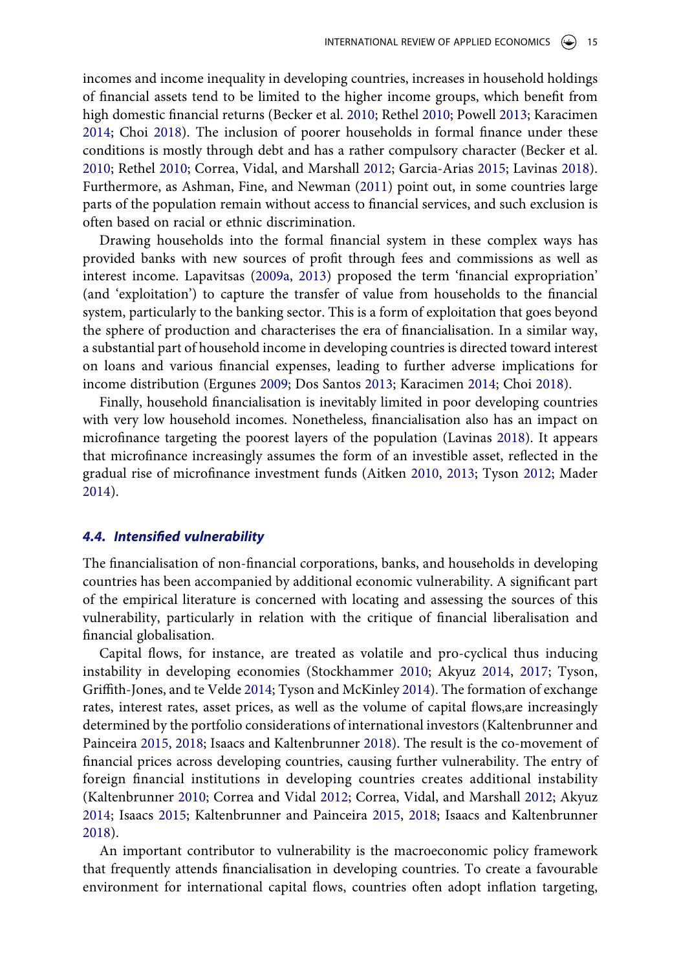incomes and income inequality in developing countries, increases in household holdings of financial assets tend to be limited to the higher income groups, which benefit from high domestic financial returns (Becker et al. [2010;](#page-19-4) Rethel [2010](#page-24-7); Powell [2013](#page-24-3); Karacimen [2014](#page-22-2); Choi [2018\)](#page-20-8). The inclusion of poorer households in formal finance under these conditions is mostly through debt and has a rather compulsory character (Becker et al. [2010](#page-19-4); Rethel [2010;](#page-24-7) Correa, Vidal, and Marshall [2012;](#page-20-4) Garcia-Arias [2015](#page-21-1); Lavinas [2018](#page-23-14)). Furthermore, as Ashman, Fine, and Newman ([2011](#page-19-0)) point out, in some countries large parts of the population remain without access to financial services, and such exclusion is often based on racial or ethnic discrimination.

Drawing households into the formal financial system in these complex ways has provided banks with new sources of profit through fees and commissions as well as interest income. Lapavitsas [\(2009a,](#page-22-6) [2013\)](#page-22-1) proposed the term 'financial expropriation' (and 'exploitation') to capture the transfer of value from households to the financial system, particularly to the banking sector. This is a form of exploitation that goes beyond the sphere of production and characterises the era of financialisation. In a similar way, a substantial part of household income in developing countries is directed toward interest on loans and various financial expenses, leading to further adverse implications for income distribution (Ergunes [2009;](#page-21-3) Dos Santos [2013;](#page-21-4) Karacimen [2014](#page-22-2); Choi [2018](#page-20-8)).

<span id="page-15-2"></span><span id="page-15-0"></span>Finally, household financialisation is inevitably limited in poor developing countries with very low household incomes. Nonetheless, financialisation also has an impact on microfinance targeting the poorest layers of the population (Lavinas [2018](#page-23-14)). It appears that microfinance increasingly assumes the form of an investible asset, reflected in the gradual rise of microfinance investment funds (Aitken [2010](#page-18-13), [2013;](#page-18-14) Tyson [2012;](#page-24-13) Mader [2014](#page-23-15)).

#### *4.4. Intensified vulnerability*

The financialisation of non-financial corporations, banks, and households in developing countries has been accompanied by additional economic vulnerability. A significant part of the empirical literature is concerned with locating and assessing the sources of this vulnerability, particularly in relation with the critique of financial liberalisation and financial globalisation.

<span id="page-15-3"></span><span id="page-15-1"></span>Capital flows, for instance, are treated as volatile and pro-cyclical thus inducing instability in developing economies (Stockhammer [2010](#page-24-14); Akyuz [2014,](#page-18-8) [2017](#page-18-15); Tyson, Griffith-Jones, and te Velde [2014](#page-24-15); Tyson and McKinley [2014\)](#page-24-6). The formation of exchange rates, interest rates, asset prices, as well as the volume of capital flows,are increasingly determined by the portfolio considerations of international investors (Kaltenbrunner and Painceira [2015](#page-22-8), [2018](#page-22-9); Isaacs and Kaltenbrunner [2018\)](#page-21-7). The result is the co-movement of financial prices across developing countries, causing further vulnerability. The entry of foreign financial institutions in developing countries creates additional instability (Kaltenbrunner [2010](#page-22-11); Correa and Vidal [2012](#page-20-15); Correa, Vidal, and Marshall [2012](#page-20-4); Akyuz [2014](#page-18-8); Isaacs [2015](#page-21-8); Kaltenbrunner and Painceira [2015](#page-22-8), [2018](#page-22-9); Isaacs and Kaltenbrunner [2018](#page-21-7)).

An important contributor to vulnerability is the macroeconomic policy framework that frequently attends financialisation in developing countries. To create a favourable environment for international capital flows, countries often adopt inflation targeting,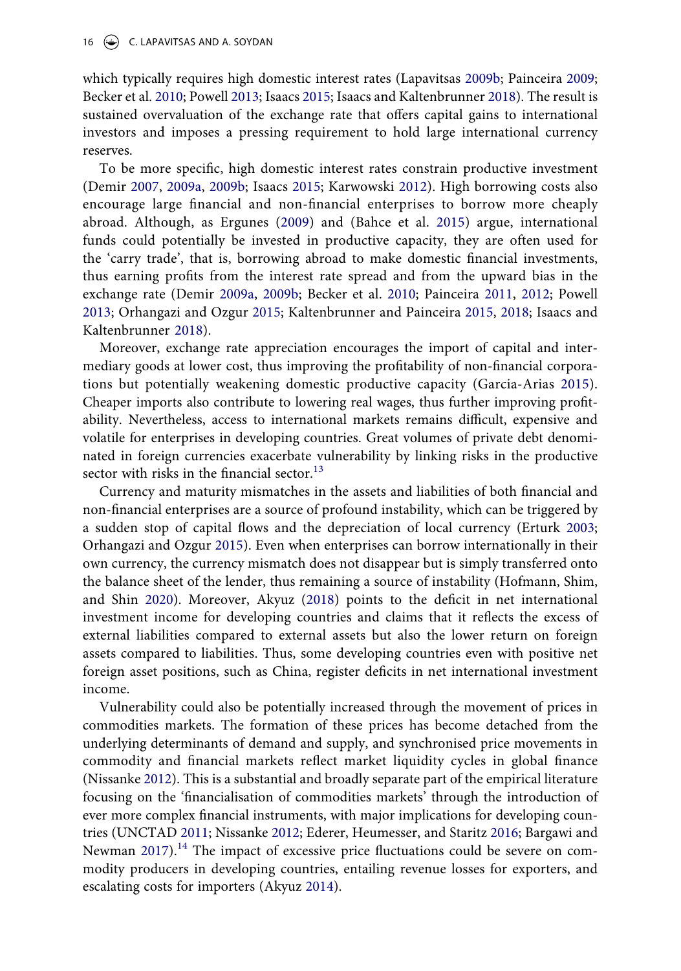which typically requires high domestic interest rates (Lapavitsas [2009b;](#page-22-10) Painceira [2009;](#page-23-5) Becker et al. [2010;](#page-19-4) Powell [2013;](#page-24-3) Isaacs [2015](#page-21-8); Isaacs and Kaltenbrunner [2018\)](#page-21-7). The result is sustained overvaluation of the exchange rate that offers capital gains to international investors and imposes a pressing requirement to hold large international currency reserves.

To be more specific, high domestic interest rates constrain productive investment (Demir [2007](#page-20-1), [2009a](#page-20-2), [2009b;](#page-20-3) Isaacs [2015](#page-21-8); Karwowski [2012\)](#page-22-17). High borrowing costs also encourage large financial and non-financial enterprises to borrow more cheaply abroad. Although, as Ergunes [\(2009](#page-21-3)) and (Bahce et al. [2015\)](#page-19-9) argue, international funds could potentially be invested in productive capacity, they are often used for the 'carry trade', that is, borrowing abroad to make domestic financial investments, thus earning profits from the interest rate spread and from the upward bias in the exchange rate (Demir [2009a](#page-20-2), [2009b](#page-20-3); Becker et al. [2010](#page-19-4); Painceira [2011,](#page-23-16) [2012](#page-23-12); Powell [2013](#page-24-3); Orhangazi and Ozgur [2015](#page-23-13); Kaltenbrunner and Painceira [2015](#page-22-8), [2018](#page-22-9); Isaacs and Kaltenbrunner [2018](#page-21-7)).

<span id="page-16-3"></span>Moreover, exchange rate appreciation encourages the import of capital and intermediary goods at lower cost, thus improving the profitability of non-financial corporations but potentially weakening domestic productive capacity (Garcia-Arias [2015](#page-21-1)). Cheaper imports also contribute to lowering real wages, thus further improving profitability. Nevertheless, access to international markets remains difficult, expensive and volatile for enterprises in developing countries. Great volumes of private debt denominated in foreign currencies exacerbate vulnerability by linking risks in the productive sector with risks in the financial sector. $13$ 

<span id="page-16-0"></span>Currency and maturity mismatches in the assets and liabilities of both financial and non-financial enterprises are a source of profound instability, which can be triggered by a sudden stop of capital flows and the depreciation of local currency (Erturk [2003;](#page-21-12) Orhangazi and Ozgur [2015](#page-23-13)). Even when enterprises can borrow internationally in their own currency, the currency mismatch does not disappear but is simply transferred onto the balance sheet of the lender, thus remaining a source of instability (Hofmann, Shim, and Shin [2020\)](#page-21-15). Moreover, Akyuz ([2018](#page-19-11)) points to the deficit in net international investment income for developing countries and claims that it reflects the excess of external liabilities compared to external assets but also the lower return on foreign assets compared to liabilities. Thus, some developing countries even with positive net foreign asset positions, such as China, register deficits in net international investment income.

<span id="page-16-2"></span><span id="page-16-1"></span>Vulnerability could also be potentially increased through the movement of prices in commodities markets. The formation of these prices has become detached from the underlying determinants of demand and supply, and synchronised price movements in commodity and financial markets reflect market liquidity cycles in global finance (Nissanke [2012](#page-23-17)). This is a substantial and broadly separate part of the empirical literature focusing on the 'financialisation of commodities markets' through the introduction of ever more complex financial instruments, with major implications for developing countries (UNCTAD [2011](#page-24-16); Nissanke [2012](#page-23-17); Ederer, Heumesser, and Staritz [2016;](#page-21-16) Bargawi and Newman [2017](#page-19-12)).<sup>14</sup> The impact of excessive price fluctuations could be severe on commodity producers in developing countries, entailing revenue losses for exporters, and escalating costs for importers (Akyuz [2014\)](#page-18-8).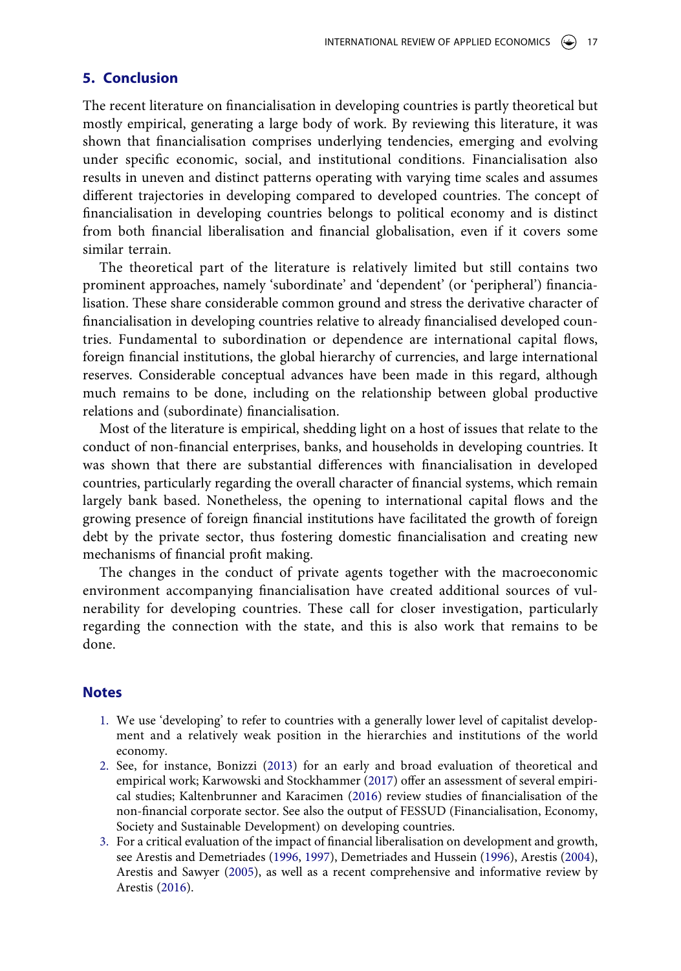### <span id="page-17-2"></span>**5. Conclusion**

The recent literature on financialisation in developing countries is partly theoretical but mostly empirical, generating a large body of work. By reviewing this literature, it was shown that financialisation comprises underlying tendencies, emerging and evolving under specific economic, social, and institutional conditions. Financialisation also results in uneven and distinct patterns operating with varying time scales and assumes different trajectories in developing compared to developed countries. The concept of financialisation in developing countries belongs to political economy and is distinct from both financial liberalisation and financial globalisation, even if it covers some similar terrain.

The theoretical part of the literature is relatively limited but still contains two prominent approaches, namely 'subordinate' and 'dependent' (or 'peripheral') financialisation. These share considerable common ground and stress the derivative character of financialisation in developing countries relative to already financialised developed countries. Fundamental to subordination or dependence are international capital flows, foreign financial institutions, the global hierarchy of currencies, and large international reserves. Considerable conceptual advances have been made in this regard, although much remains to be done, including on the relationship between global productive relations and (subordinate) financialisation.

Most of the literature is empirical, shedding light on a host of issues that relate to the conduct of non-financial enterprises, banks, and households in developing countries. It was shown that there are substantial differences with financialisation in developed countries, particularly regarding the overall character of financial systems, which remain largely bank based. Nonetheless, the opening to international capital flows and the growing presence of foreign financial institutions have facilitated the growth of foreign debt by the private sector, thus fostering domestic financialisation and creating new mechanisms of financial profit making.

The changes in the conduct of private agents together with the macroeconomic environment accompanying financialisation have created additional sources of vulnerability for developing countries. These call for closer investigation, particularly regarding the connection with the state, and this is also work that remains to be done.

#### **Notes**

- <span id="page-17-0"></span>1. We use 'developing' to refer to countries with a generally lower level of capitalist development and a relatively weak position in the hierarchies and institutions of the world economy.
- <span id="page-17-7"></span><span id="page-17-1"></span>2. See, for instance, Bonizzi ([2013](#page-19-13)) for an early and broad evaluation of theoretical and empirical work; Karwowski and Stockhammer ([2017](#page-22-14)) offer an assessment of several empirical studies; Kaltenbrunner and Karacimen [\(2016\)](#page-22-19) review studies of financialisation of the non-financial corporate sector. See also the output of FESSUD (Financialisation, Economy, Society and Sustainable Development) on developing countries.
- <span id="page-17-6"></span><span id="page-17-5"></span><span id="page-17-4"></span><span id="page-17-3"></span>3. For a critical evaluation of the impact of financial liberalisation on development and growth, see Arestis and Demetriades [\(1996](#page-19-14), [1997](#page-19-15)), Demetriades and Hussein [\(1996](#page-20-20)), Arestis [\(2004\)](#page-19-16), Arestis and Sawyer ([2005](#page-19-17)), as well as a recent comprehensive and informative review by Arestis ([2016](#page-19-18)).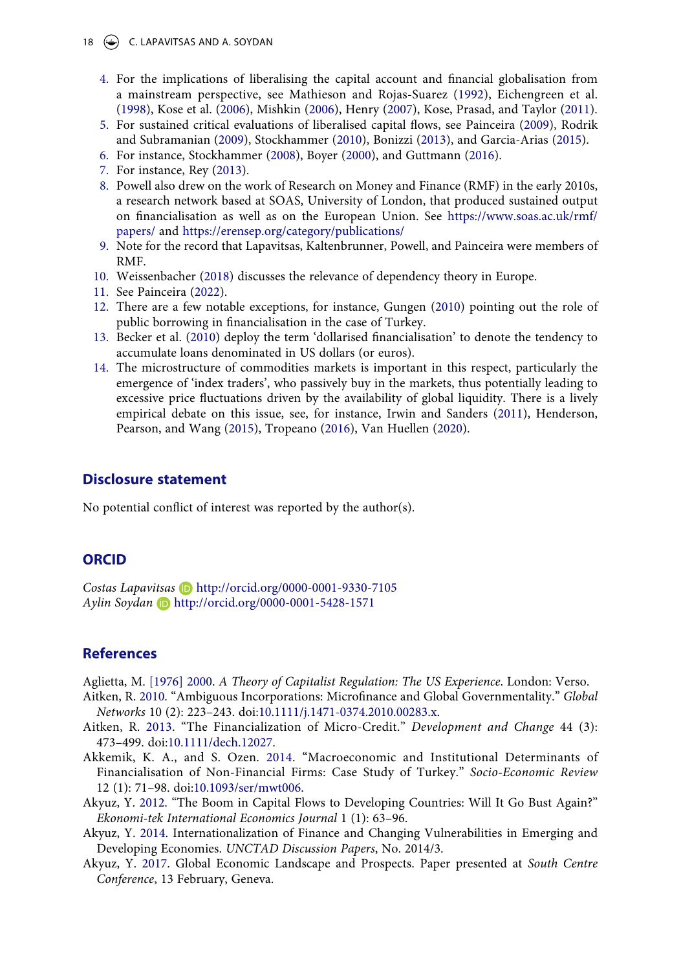- <span id="page-18-22"></span><span id="page-18-21"></span><span id="page-18-18"></span><span id="page-18-6"></span><span id="page-18-5"></span><span id="page-18-3"></span><span id="page-18-2"></span><span id="page-18-1"></span><span id="page-18-0"></span>18  $\left(\rightarrow\right)$  C. LAPAVITSAS AND A. SOYDAN
	- 4. For the implications of liberalising the capital account and financial globalisation from a mainstream perspective, see Mathieson and Rojas-Suarez ([1992\)](#page-23-18), Eichengreen et al. ([1998\)](#page-21-17), Kose et al. ([2006\)](#page-22-20), Mishkin ([2006](#page-23-19)), Henry ([2007\)](#page-21-18), Kose, Prasad, and Taylor [\(2011\)](#page-22-21).
	- 5. For sustained critical evaluations of liberalised capital flows, see Painceira ([2009\)](#page-23-5), Rodrik and Subramanian [\(2009\)](#page-24-17), Stockhammer [\(2010](#page-24-14)), Bonizzi [\(2013](#page-19-13)), and Garcia-Arias [\(2015\)](#page-21-1).
	- 6. For instance, Stockhammer [\(2008](#page-24-18)), Boyer ([2000\)](#page-20-11), and Guttmann ([2016](#page-21-19)).
	- 7. For instance, Rey ([2013](#page-24-19)).
	- 8. Powell also drew on the work of Research on Money and Finance (RMF) in the early 2010s, a research network based at SOAS, University of London, that produced sustained output on financialisation as well as on the European Union. See [https://www.soas.ac.uk/rmf/](https://www.soas.ac.uk/rmf/papers/) [papers/](https://www.soas.ac.uk/rmf/papers/) and <https://erensep.org/category/publications/>
	- 9. Note for the record that Lapavitsas, Kaltenbrunner, Powell, and Painceira were members of RMF.
	- 10. Weissenbacher ([2018](#page-24-20)) discusses the relevance of dependency theory in Europe.
	- 11. See Painceira [\(2022](#page-23-20)).
	- 12. There are a few notable exceptions, for instance, Gungen [\(2010\)](#page-21-11) pointing out the role of public borrowing in financialisation in the case of Turkey.
	- 13. Becker et al. ([2010](#page-19-4)) deploy the term 'dollarised financialisation' to denote the tendency to accumulate loans denominated in US dollars (or euros).
	- 14. The microstructure of commodities markets is important in this respect, particularly the emergence of 'index traders', who passively buy in the markets, thus potentially leading to excessive price fluctuations driven by the availability of global liquidity. There is a lively empirical debate on this issue, see, for instance, Irwin and Sanders ([2011\)](#page-21-20), Henderson, Pearson, and Wang ([2015](#page-21-21)), Tropeano ([2016\)](#page-24-21), Van Huellen ([2020](#page-24-22)).

#### <span id="page-18-20"></span><span id="page-18-19"></span><span id="page-18-17"></span><span id="page-18-16"></span><span id="page-18-12"></span><span id="page-18-11"></span><span id="page-18-9"></span>**Disclosure statement**

No potential conflict of interest was reported by the author(s).

#### **ORCID**

*Costas Lapavitsas* http://orcid.org/0000-0001-9330-7105 *Aylin Soydan* http://orcid.org/0000-0001-5428-1571

# **References**

<span id="page-18-10"></span>Aglietta, M. [\[1976\] 2000.](#page-8-0) *A Theory of Capitalist Regulation: The US Experience*. London: Verso.

- <span id="page-18-13"></span>Aitken, R. [2010](#page-15-0). "Ambiguous Incorporations: Microfinance and Global Governmentality." *Global Networks* 10 (2): 223–243. doi:[10.1111/j.1471-0374.2010.00283.x.](https://doi.org/10.1111/j.1471-0374.2010.00283.x)
- <span id="page-18-14"></span>Aitken, R. [2013.](#page-15-0) "The Financialization of Micro-Credit." *Development and Change* 44 (3): 473–499. doi:[10.1111/dech.12027](https://doi.org/10.1111/dech.12027).
- <span id="page-18-4"></span>Akkemik, K. A., and S. Ozen. [2014.](#page-5-0) "Macroeconomic and Institutional Determinants of Financialisation of Non-Financial Firms: Case Study of Turkey." *Socio-Economic Review*  12 (1): 71–98. doi:[10.1093/ser/mwt006](https://doi.org/10.1093/ser/mwt006).
- <span id="page-18-7"></span>Akyuz, Y. [2012](#page-7-0). "The Boom in Capital Flows to Developing Countries: Will It Go Bust Again?" *Ekonomi-tek International Economics Journal* 1 (1): 63–96.
- <span id="page-18-8"></span>Akyuz, Y. [2014.](#page-7-0) Internationalization of Finance and Changing Vulnerabilities in Emerging and Developing Economies. *UNCTAD Discussion Papers*, No. 2014/3.
- <span id="page-18-15"></span>Akyuz, Y. [2017](#page-15-1). Global Economic Landscape and Prospects. Paper presented at *South Centre Conference*, 13 February, Geneva.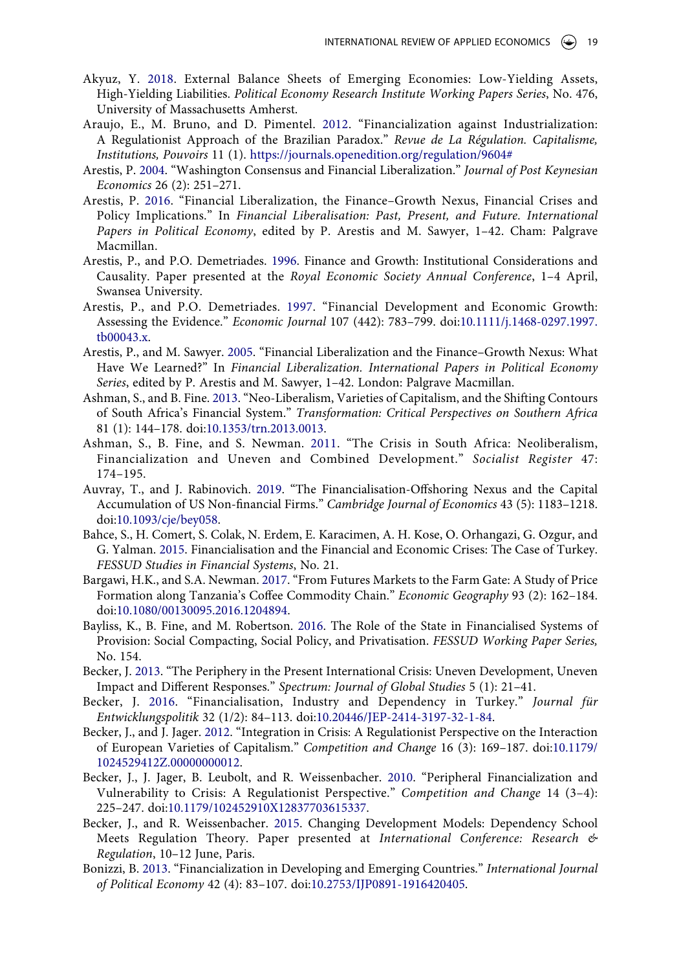- <span id="page-19-11"></span>Akyuz, Y. [2018.](#page-16-0) External Balance Sheets of Emerging Economies: Low-Yielding Assets, High-Yielding Liabilities. *Political Economy Research Institute Working Papers Series*, No. 476, University of Massachusetts Amherst.
- <span id="page-19-2"></span>Araujo, E., M. Bruno, and D. Pimentel. [2012.](#page-5-1) "Financialization against Industrialization: A Regulationist Approach of the Brazilian Paradox." *Revue de La Régulation. Capitalisme, Institutions, Pouvoirs* 11 (1). <https://journals.openedition.org/regulation/9604#>
- <span id="page-19-16"></span>Arestis, P. [2004](#page-17-4). "Washington Consensus and Financial Liberalization." *Journal of Post Keynesian Economics* 26 (2): 251–271.
- <span id="page-19-18"></span>Arestis, P. [2016.](#page-17-5) "Financial Liberalization, the Finance–Growth Nexus, Financial Crises and Policy Implications." In *Financial Liberalisation: Past, Present, and Future. International Papers in Political Economy*, edited by P. Arestis and M. Sawyer, 1–42. Cham: Palgrave Macmillan.
- <span id="page-19-14"></span>Arestis, P., and P.O. Demetriades. [1996.](#page-17-4) Finance and Growth: Institutional Considerations and Causality. Paper presented at the *Royal Economic Society Annual Conference*, 1–4 April, Swansea University.
- <span id="page-19-15"></span>Arestis, P., and P.O. Demetriades. [1997.](#page-17-4) "Financial Development and Economic Growth: Assessing the Evidence." *Economic Journal* 107 (442): 783–799. doi:[10.1111/j.1468-0297.1997.](https://doi.org/10.1111/j.1468-0297.1997.tb00043.x) [tb00043.x](https://doi.org/10.1111/j.1468-0297.1997.tb00043.x).
- <span id="page-19-17"></span>Arestis, P., and M. Sawyer. [2005](#page-17-6). "Financial Liberalization and the Finance–Growth Nexus: What Have We Learned?" In *Financial Liberalization. International Papers in Political Economy Series*, edited by P. Arestis and M. Sawyer, 1–42. London: Palgrave Macmillan.
- <span id="page-19-10"></span>Ashman, S., and B. Fine. [2013](#page-14-0). "Neo-Liberalism, Varieties of Capitalism, and the Shifting Contours of South Africa's Financial System." *Transformation: Critical Perspectives on Southern Africa*  81 (1): 144–178. doi:[10.1353/trn.2013.0013.](https://doi.org/10.1353/trn.2013.0013)
- <span id="page-19-0"></span>Ashman, S., B. Fine, and S. Newman. [2011](#page-5-2). "The Crisis in South Africa: Neoliberalism, Financialization and Uneven and Combined Development." *Socialist Register* 47: 174–195.
- <span id="page-19-3"></span>Auvray, T., and J. Rabinovich. [2019](#page-7-1). "The Financialisation-Offshoring Nexus and the Capital Accumulation of US Non-financial Firms." *Cambridge Journal of Economics* 43 (5): 1183–1218. doi:[10.1093/cje/bey058.](https://doi.org/10.1093/cje/bey058)
- <span id="page-19-9"></span>Bahce, S., H. Comert, S. Colak, N. Erdem, E. Karacimen, A. H. Kose, O. Orhangazi, G. Ozgur, and G. Yalman. [2015.](#page-13-0) Financialisation and the Financial and Economic Crises: The Case of Turkey. *FESSUD Studies in Financial Systems*, No. 21.
- <span id="page-19-12"></span>Bargawi, H.K., and S.A. Newman. [2017](#page-16-1). "From Futures Markets to the Farm Gate: A Study of Price Formation along Tanzania's Coffee Commodity Chain." *Economic Geography* 93 (2): 162–184. doi:[10.1080/00130095.2016.1204894](https://doi.org/10.1080/00130095.2016.1204894).
- <span id="page-19-1"></span>Bayliss, K., B. Fine, and M. Robertson. [2016](#page-5-3). The Role of the State in Financialised Systems of Provision: Social Compacting, Social Policy, and Privatisation. *FESSUD Working Paper Series,*  No. 154.
- <span id="page-19-7"></span>Becker, J. [2013](#page-8-1). "The Periphery in the Present International Crisis: Uneven Development, Uneven Impact and Different Responses." *Spectrum: Journal of Global Studies* 5 (1): 21–41.
- <span id="page-19-8"></span>Becker, J. [2016.](#page-8-2) "Financialisation, Industry and Dependency in Turkey." *Journal für Entwicklungspolitik* 32 (1/2): 84–113. doi:[10.20446/JEP-2414-3197-32-1-84.](https://doi.org/10.20446/JEP-2414-3197-32-1-84)
- <span id="page-19-5"></span>Becker, J., and J. Jager. [2012.](#page-8-3) "Integration in Crisis: A Regulationist Perspective on the Interaction of European Varieties of Capitalism." *Competition and Change* 16 (3): 169–187. doi:[10.1179/](https://doi.org/10.1179/1024529412Z.00000000012) [1024529412Z.00000000012.](https://doi.org/10.1179/1024529412Z.00000000012)
- <span id="page-19-4"></span>Becker, J., J. Jager, B. Leubolt, and R. Weissenbacher. [2010](#page-8-4). "Peripheral Financialization and Vulnerability to Crisis: A Regulationist Perspective." *Competition and Change* 14 (3–4): 225–247. doi:[10.1179/102452910X12837703615337](https://doi.org/10.1179/102452910X12837703615337).
- <span id="page-19-6"></span>Becker, J., and R. Weissenbacher. [2015](#page-8-4). Changing Development Models: Dependency School Meets Regulation Theory. Paper presented at *International Conference: Research & Regulation*, 10–12 June, Paris.
- <span id="page-19-13"></span>Bonizzi, B. [2013.](#page-17-1) "Financialization in Developing and Emerging Countries." *International Journal of Political Economy* 42 (4): 83–107. doi:[10.2753/IJP0891-1916420405.](https://doi.org/10.2753/IJP0891-1916420405)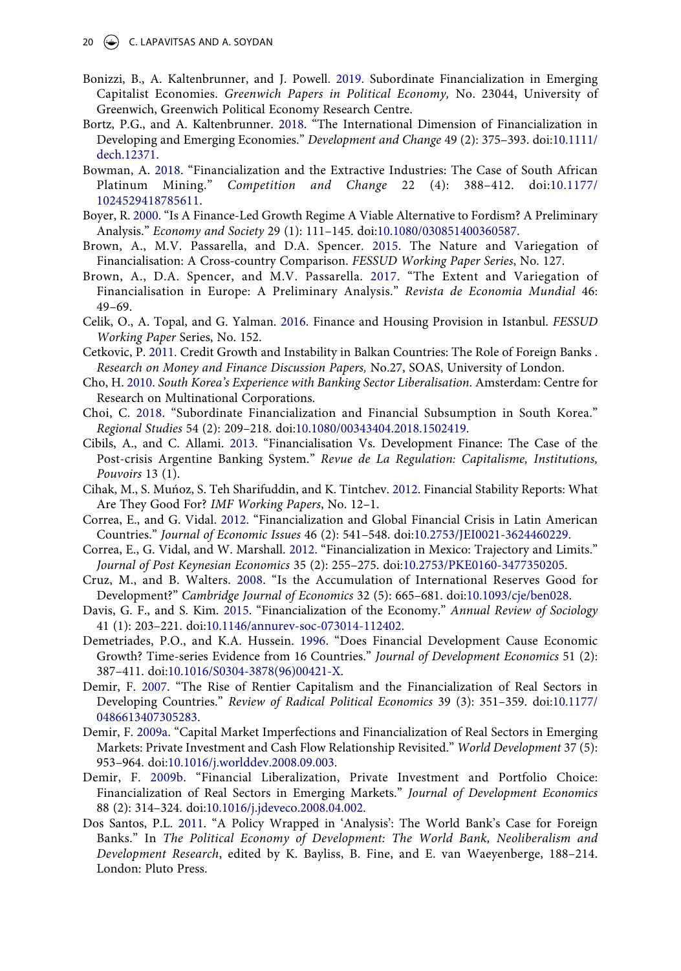- <span id="page-20-7"></span>Bonizzi, B., A. Kaltenbrunner, and J. Powell. [2019.](#page-6-0) Subordinate Financialization in Emerging Capitalist Economies. *Greenwich Papers in Political Economy,* No. 23044, University of Greenwich, Greenwich Political Economy Research Centre.
- <span id="page-20-9"></span>Bortz, P.G., and A. Kaltenbrunner. [2018](#page-6-1). "The International Dimension of Financialization in Developing and Emerging Economies." *Development and Change* 49 (2): 375–393. doi:[10.1111/](https://doi.org/10.1111/dech.12371) [dech.12371](https://doi.org/10.1111/dech.12371).
- <span id="page-20-16"></span>Bowman, A. [2018.](#page-12-0) "Financialization and the Extractive Industries: The Case of South African Platinum Mining." *Competition and Change* 22 (4): 388–412. doi:[10.1177/](https://doi.org/10.1177/1024529418785611) [1024529418785611](https://doi.org/10.1177/1024529418785611).
- <span id="page-20-11"></span>Boyer, R. [2000.](#page-8-0) "Is A Finance-Led Growth Regime A Viable Alternative to Fordism? A Preliminary Analysis." *Economy and Society* 29 (1): 111–145. doi:[10.1080/030851400360587.](https://doi.org/10.1080/030851400360587)
- <span id="page-20-5"></span>Brown, A., M.V. Passarella, and D.A. Spencer. [2015.](#page-5-4) The Nature and Variegation of Financialisation: A Cross-country Comparison. *FESSUD Working Paper Series*, No. 127.
- <span id="page-20-6"></span>Brown, A., D.A. Spencer, and M.V. Passarella. [2017.](#page-5-4) "The Extent and Variegation of Financialisation in Europe: A Preliminary Analysis." *Revista de Economia Mundial* 46: 49–69.
- <span id="page-20-19"></span>Celik, O., A. Topal, and G. Yalman. [2016.](#page-14-1) Finance and Housing Provision in Istanbul. *FESSUD Working Paper* Series, No. 152.
- <span id="page-20-17"></span>Cetkovic, P. [2011.](#page-13-1) Credit Growth and Instability in Balkan Countries: The Role of Foreign Banks . *Research on Money and Finance Discussion Papers,* No.27, SOAS, University of London.
- <span id="page-20-14"></span>Cho, H. [2010](#page-12-1). *South Korea's Experience with Banking Sector Liberalisation*. Amsterdam: Centre for Research on Multinational Corporations.
- <span id="page-20-8"></span>Choi, C. [2018](#page-6-2). "Subordinate Financialization and Financial Subsumption in South Korea." *Regional Studies* 54 (2): 209–218. doi:[10.1080/00343404.2018.1502419.](https://doi.org/10.1080/00343404.2018.1502419)
- <span id="page-20-13"></span>Cibils, A., and C. Allami. [2013.](#page-10-0) "Financialisation Vs. Development Finance: The Case of the Post-crisis Argentine Banking System." *Revue de La Regulation: Capitalisme, Institutions, Pouvoirs* 13 (1).
- <span id="page-20-12"></span>Cihak, M., S. Muńoz, S. Teh Sharifuddin, and K. Tintchev. [2012.](#page-10-1) Financial Stability Reports: What Are They Good For? *IMF Working Papers*, No. 12–1.
- <span id="page-20-15"></span>Correa, E., and G. Vidal. [2012](#page-12-1). "Financialization and Global Financial Crisis in Latin American Countries." *Journal of Economic Issues* 46 (2): 541–548. doi:[10.2753/JEI0021-3624460229.](https://doi.org/10.2753/JEI0021-3624460229)
- <span id="page-20-4"></span>Correa, E., G. Vidal, and W. Marshall. [2012.](#page-5-5) "Financialization in Mexico: Trajectory and Limits." *Journal of Post Keynesian Economics* 35 (2): 255–275. doi:[10.2753/PKE0160-3477350205](https://doi.org/10.2753/PKE0160-3477350205).
- <span id="page-20-10"></span>Cruz, M., and B. Walters. [2008](#page-7-2). "Is the Accumulation of International Reserves Good for Development?" *Cambridge Journal of Economics* 32 (5): 665–681. doi:[10.1093/cje/ben028](https://doi.org/10.1093/cje/ben028).
- <span id="page-20-0"></span>Davis, G. F., and S. Kim. [2015](#page-1-1). "Financialization of the Economy." *Annual Review of Sociology*  41 (1): 203–221. doi:[10.1146/annurev-soc-073014-112402.](https://doi.org/10.1146/annurev-soc-073014-112402)
- <span id="page-20-20"></span>Demetriades, P.O., and K.A. Hussein. [1996.](#page-17-4) "Does Financial Development Cause Economic Growth? Time-series Evidence from 16 Countries." *Journal of Development Economics* 51 (2): 387–411. doi:[10.1016/S0304-3878\(96\)00421-X.](https://doi.org/10.1016/S0304-3878(96)00421-X)
- <span id="page-20-1"></span>Demir, F. [2007](#page-5-6). "The Rise of Rentier Capitalism and the Financialization of Real Sectors in Developing Countries." *Review of Radical Political Economics* 39 (3): 351–359. doi:[10.1177/](https://doi.org/10.1177/0486613407305283) [0486613407305283.](https://doi.org/10.1177/0486613407305283)
- <span id="page-20-2"></span>Demir, F. [2009a.](#page-5-6) "Capital Market Imperfections and Financialization of Real Sectors in Emerging Markets: Private Investment and Cash Flow Relationship Revisited." *World Development* 37 (5): 953–964. doi:[10.1016/j.worlddev.2008.09.003](https://doi.org/10.1016/j.worlddev.2008.09.003).
- <span id="page-20-3"></span>Demir, F. [2009b.](#page-5-5) "Financial Liberalization, Private Investment and Portfolio Choice: Financialization of Real Sectors in Emerging Markets." *Journal of Development Economics*  88 (2): 314–324. doi:[10.1016/j.jdeveco.2008.04.002](https://doi.org/10.1016/j.jdeveco.2008.04.002).
- <span id="page-20-18"></span>Dos Santos, P.L. [2011](#page-13-2). "A Policy Wrapped in 'Analysis': The World Bank's Case for Foreign Banks." In *The Political Economy of Development: The World Bank, Neoliberalism and Development Research*, edited by K. Bayliss, B. Fine, and E. van Waeyenberge, 188–214. London: Pluto Press.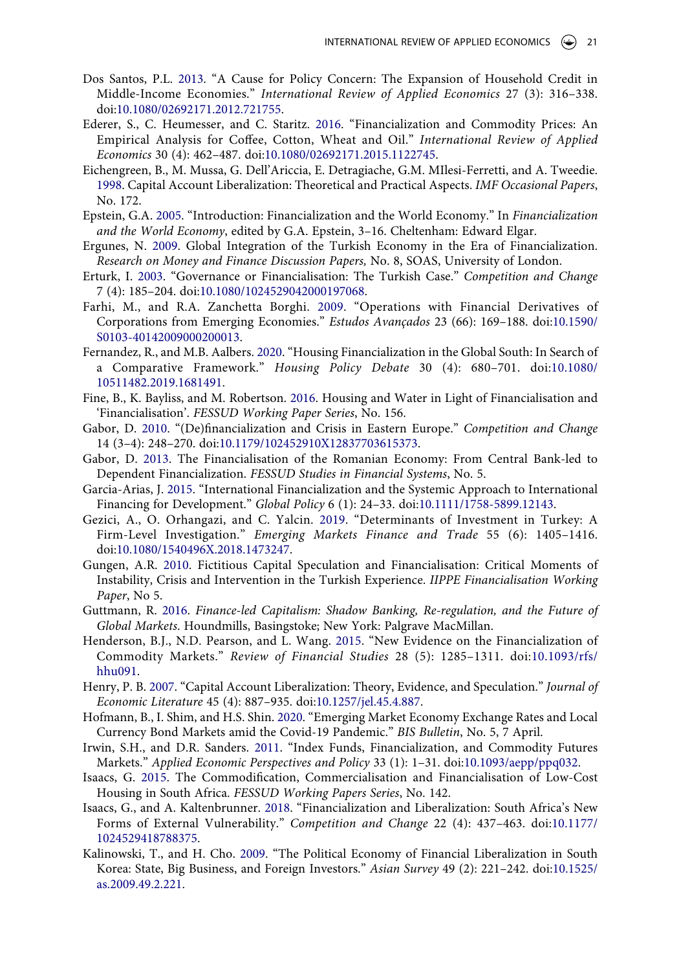- <span id="page-21-4"></span>Dos Santos, P.L. [2013](#page-5-2). "A Cause for Policy Concern: The Expansion of Household Credit in Middle-Income Economies." *International Review of Applied Economics* 27 (3): 316–338. doi:[10.1080/02692171.2012.721755.](https://doi.org/10.1080/02692171.2012.721755)
- <span id="page-21-16"></span>Ederer, S., C. Heumesser, and C. Staritz. [2016.](#page-16-2) "Financialization and Commodity Prices: An Empirical Analysis for Coffee, Cotton, Wheat and Oil." *International Review of Applied Economics* 30 (4): 462–487. doi:[10.1080/02692171.2015.1122745.](https://doi.org/10.1080/02692171.2015.1122745)
- <span id="page-21-17"></span>Eichengreen, B., M. Mussa, G. Dell'Ariccia, E. Detragiache, G.M. MIlesi-Ferretti, and A. Tweedie. [1998](#page-18-18). Capital Account Liberalization: Theoretical and Practical Aspects. *IMF Occasional Papers*, No. 172.
- <span id="page-21-0"></span>Epstein, G.A. [2005](#page-3-0). "Introduction: Financialization and the World Economy." In *Financialization and the World Economy*, edited by G.A. Epstein, 3–16. Cheltenham: Edward Elgar.
- <span id="page-21-3"></span>Ergunes, N. [2009.](#page-5-2) Global Integration of the Turkish Economy in the Era of Financialization. *Research on Money and Finance Discussion Papers,* No. 8, SOAS, University of London.
- <span id="page-21-12"></span>Erturk, I. [2003](#page-12-2). "Governance or Financialisation: The Turkish Case." *Competition and Change*  7 (4): 185–204. doi:[10.1080/1024529042000197068](https://doi.org/10.1080/1024529042000197068).
- <span id="page-21-9"></span>Farhi, M., and R.A. Zanchetta Borghi. [2009.](#page-12-3) "Operations with Financial Derivatives of Corporations from Emerging Economies." *Estudos Avançados* 23 (66): 169–188. doi:[10.1590/](https://doi.org/10.1590/S0103-40142009000200013) [S0103-40142009000200013.](https://doi.org/10.1590/S0103-40142009000200013)
- <span id="page-21-6"></span>Fernandez, R., and M.B. Aalbers. [2020](#page-6-2). "Housing Financialization in the Global South: In Search of a Comparative Framework." *Housing Policy Debate* 30 (4): 680–701. doi:[10.1080/](https://doi.org/10.1080/10511482.2019.1681491) [10511482.2019.1681491.](https://doi.org/10.1080/10511482.2019.1681491)
- <span id="page-21-5"></span>Fine, B., K. Bayliss, and M. Robertson. [2016.](#page-5-3) Housing and Water in Light of Financialisation and 'Financialisation'. *FESSUD Working Paper Series*, No. 156.
- <span id="page-21-14"></span>Gabor, D. [2010](#page-13-1). "(De)financialization and Crisis in Eastern Europe." *Competition and Change*  14 (3–4): 248–270. doi:[10.1179/102452910X12837703615373.](https://doi.org/10.1179/102452910X12837703615373)
- <span id="page-21-2"></span>Gabor, D. [2013](#page-5-7). The Financialisation of the Romanian Economy: From Central Bank-led to Dependent Financialization. *FESSUD Studies in Financial Systems*, No. 5.
- <span id="page-21-1"></span>Garcia-Arias, J. [2015.](#page-4-1) "International Financialization and the Systemic Approach to International Financing for Development." *Global Policy* 6 (1): 24–33. doi:[10.1111/1758-5899.12143](https://doi.org/10.1111/1758-5899.12143).
- <span id="page-21-13"></span>Gezici, A., O. Orhangazi, and C. Yalcin. [2019](#page-13-3). "Determinants of Investment in Turkey: A Firm-Level Investigation." *Emerging Markets Finance and Trade* 55 (6): 1405–1416. doi:[10.1080/1540496X.2018.1473247.](https://doi.org/10.1080/1540496X.2018.1473247)
- <span id="page-21-11"></span>Gungen, A.R. [2010.](#page-12-4) Fictitious Capital Speculation and Financialisation: Critical Moments of Instability, Crisis and Intervention in the Turkish Experience. *IIPPE Financialisation Working Paper*, No 5.
- <span id="page-21-19"></span>Guttmann, R. [2016.](#page-18-2) *Finance-led Capitalism: Shadow Banking, Re-regulation, and the Future of Global Markets*. Houndmills, Basingstoke; New York: Palgrave MacMillan.
- <span id="page-21-21"></span>Henderson, B.J., N.D. Pearson, and L. Wang. [2015.](#page-18-19) "New Evidence on the Financialization of Commodity Markets." *Review of Financial Studies* 28 (5): 1285–1311. doi:[10.1093/rfs/](https://doi.org/10.1093/rfs/hhu091) [hhu091](https://doi.org/10.1093/rfs/hhu091).
- <span id="page-21-18"></span>Henry, P. B. [2007](#page-18-18). "Capital Account Liberalization: Theory, Evidence, and Speculation." *Journal of Economic Literature* 45 (4): 887–935. doi:[10.1257/jel.45.4.887.](https://doi.org/10.1257/jel.45.4.887)
- <span id="page-21-15"></span>Hofmann, B., I. Shim, and H.S. Shin. [2020](#page-16-0). "Emerging Market Economy Exchange Rates and Local Currency Bond Markets amid the Covid-19 Pandemic." *BIS Bulletin*, No. 5, 7 April.
- <span id="page-21-20"></span>Irwin, S.H., and D.R. Sanders. [2011.](#page-18-20) "Index Funds, Financialization, and Commodity Futures Markets." *Applied Economic Perspectives and Policy* 33 (1): 1–31. doi:[10.1093/aepp/ppq032.](https://doi.org/10.1093/aepp/ppq032)
- <span id="page-21-8"></span>Isaacs, G. [2015.](#page-7-3) The Commodification, Commercialisation and Financialisation of Low-Cost Housing in South Africa. *FESSUD Working Papers Series*, No. 142.
- <span id="page-21-7"></span>Isaacs, G., and A. Kaltenbrunner. [2018](#page-6-3). "Financialization and Liberalization: South Africa's New Forms of External Vulnerability." *Competition and Change* 22 (4): 437–463. doi:[10.1177/](https://doi.org/10.1177/1024529418788375) [1024529418788375.](https://doi.org/10.1177/1024529418788375)
- <span id="page-21-10"></span>Kalinowski, T., and H. Cho. [2009](#page-12-5). "The Political Economy of Financial Liberalization in South Korea: State, Big Business, and Foreign Investors." *Asian Survey* 49 (2): 221–242. doi:[10.1525/](https://doi.org/10.1525/as.2009.49.2.221) [as.2009.49.2.221.](https://doi.org/10.1525/as.2009.49.2.221)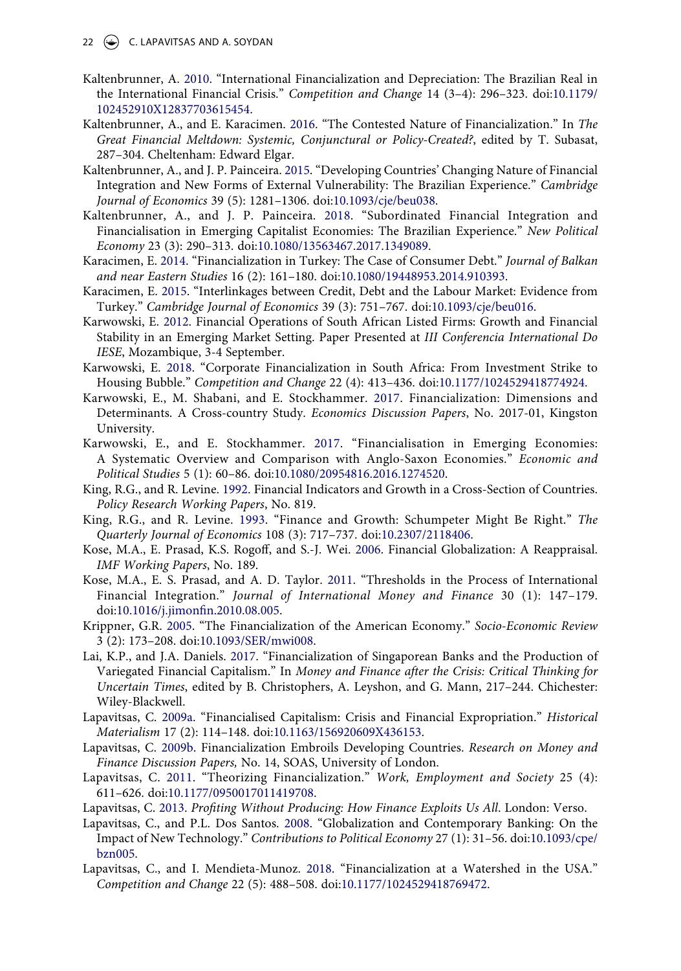22  $\left(\rightarrow\right)$  C. LAPAVITSAS AND A. SOYDAN

- <span id="page-22-11"></span>Kaltenbrunner, A. [2010.](#page-6-4) "International Financialization and Depreciation: The Brazilian Real in the International Financial Crisis." *Competition and Change* 14 (3–4): 296–323. doi:[10.1179/](https://doi.org/10.1179/102452910X12837703615454) [102452910X12837703615454](https://doi.org/10.1179/102452910X12837703615454).
- <span id="page-22-19"></span>Kaltenbrunner, A., and E. Karacimen. [2016](#page-17-7). "The Contested Nature of Financialization." In *The Great Financial Meltdown: Systemic, Conjunctural or Policy-Created?*, edited by T. Subasat, 287–304. Cheltenham: Edward Elgar.
- <span id="page-22-8"></span>Kaltenbrunner, A., and J. P. Painceira. [2015.](#page-6-3) "Developing Countries' Changing Nature of Financial Integration and New Forms of External Vulnerability: The Brazilian Experience." *Cambridge Journal of Economics* 39 (5): 1281–1306. doi:[10.1093/cje/beu038](https://doi.org/10.1093/cje/beu038).
- <span id="page-22-9"></span>Kaltenbrunner, A., and J. P. Painceira. [2018.](#page-6-5) "Subordinated Financial Integration and Financialisation in Emerging Capitalist Economies: The Brazilian Experience." *New Political Economy* 23 (3): 290–313. doi:[10.1080/13563467.2017.1349089](https://doi.org/10.1080/13563467.2017.1349089).
- <span id="page-22-2"></span>Karacimen, E. [2014.](#page-5-2) "Financialization in Turkey: The Case of Consumer Debt." *Journal of Balkan and near Eastern Studies* 16 (2): 161–180. doi:[10.1080/19448953.2014.910393.](https://doi.org/10.1080/19448953.2014.910393)
- <span id="page-22-3"></span>Karacimen, E. [2015](#page-5-2). "Interlinkages between Credit, Debt and the Labour Market: Evidence from Turkey." *Cambridge Journal of Economics* 39 (3): 751–767. doi:[10.1093/cje/beu016.](https://doi.org/10.1093/cje/beu016)
- <span id="page-22-17"></span>Karwowski, E. [2012.](#page-12-6) Financial Operations of South African Listed Firms: Growth and Financial Stability in an Emerging Market Setting. Paper Presented at *III Conferencia International Do IESE*, Mozambique, 3-4 September.
- <span id="page-22-15"></span>Karwowski, E. [2018.](#page-10-2) "Corporate Financialization in South Africa: From Investment Strike to Housing Bubble." *Competition and Change* 22 (4): 413–436. doi:[10.1177/1024529418774924.](https://doi.org/10.1177/1024529418774924)
- <span id="page-22-4"></span>Karwowski, E., M. Shabani, and E. Stockhammer. [2017.](#page-5-8) Financialization: Dimensions and Determinants. A Cross-country Study. *Economics Discussion Papers*, No. 2017-01, Kingston University.
- <span id="page-22-14"></span>Karwowski, E., and E. Stockhammer. [2017](#page-10-3). "Financialisation in Emerging Economies: A Systematic Overview and Comparison with Anglo-Saxon Economies." *Economic and Political Studies* 5 (1): 60–86. doi:[10.1080/20954816.2016.1274520](https://doi.org/10.1080/20954816.2016.1274520).
- <span id="page-22-12"></span>King, R.G., and R. Levine. [1992.](#page-10-4) Financial Indicators and Growth in a Cross-Section of Countries. *Policy Research Working Papers*, No. 819.
- <span id="page-22-13"></span>King, R.G., and R. Levine. [1993](#page-10-4). "Finance and Growth: Schumpeter Might Be Right." *The Quarterly Journal of Economics* 108 (3): 717–737. doi:[10.2307/2118406.](https://doi.org/10.2307/2118406)
- <span id="page-22-20"></span>Kose, M.A., E. Prasad, K.S. Rogoff, and S.-J. Wei. [2006.](#page-18-18) Financial Globalization: A Reappraisal. *IMF Working Papers*, No. 189.
- <span id="page-22-21"></span>Kose, M.A., E. S. Prasad, and A. D. Taylor. [2011.](#page-18-18) "Thresholds in the Process of International Financial Integration." *Journal of International Money and Finance* 30 (1): 147–179. doi:[10.1016/j.jimonfin.2010.08.005](https://doi.org/10.1016/j.jimonfin.2010.08.005).
- <span id="page-22-0"></span>Krippner, G.R. [2005](#page-4-2). "The Financialization of the American Economy." *Socio-Economic Review*  3 (2): 173–208. doi:[10.1093/SER/mwi008.](https://doi.org/10.1093/SER/mwi008)
- <span id="page-22-5"></span>Lai, K.P., and J.A. Daniels. [2017](#page-5-9). "Financialization of Singaporean Banks and the Production of Variegated Financial Capitalism." In *Money and Finance after the Crisis: Critical Thinking for Uncertain Times*, edited by B. Christophers, A. Leyshon, and G. Mann, 217–244. Chichester: Wiley-Blackwell.
- <span id="page-22-6"></span>Lapavitsas, C. [2009a.](#page-5-10) "Financialised Capitalism: Crisis and Financial Expropriation." *Historical Materialism* 17 (2): 114–148. doi:[10.1163/156920609X436153](https://doi.org/10.1163/156920609X436153).
- <span id="page-22-10"></span>Lapavitsas, C. [2009b](#page-6-6). Financialization Embroils Developing Countries. *Research on Money and Finance Discussion Papers,* No. 14, SOAS, University of London.
- <span id="page-22-7"></span>Lapavitsas, C. [2011.](#page-5-10) "Theorizing Financialization." *Work, Employment and Society* 25 (4): 611–626. doi:[10.1177/0950017011419708](https://doi.org/10.1177/0950017011419708).
- <span id="page-22-1"></span>Lapavitsas, C. [2013.](#page-4-3) *Profiting Without Producing: How Finance Exploits Us All*. London: Verso.
- <span id="page-22-18"></span>Lapavitsas, C., and P.L. Dos Santos. [2008](#page-13-4). "Globalization and Contemporary Banking: On the Impact of New Technology." *Contributions to Political Economy* 27 (1): 31–56. doi:[10.1093/cpe/](https://doi.org/10.1093/cpe/bzn005) [bzn005.](https://doi.org/10.1093/cpe/bzn005)
- <span id="page-22-16"></span>Lapavitsas, C., and I. Mendieta-Munoz. [2018](#page-11-0). "Financialization at a Watershed in the USA." *Competition and Change* 22 (5): 488–508. doi:[10.1177/1024529418769472.](https://doi.org/10.1177/1024529418769472)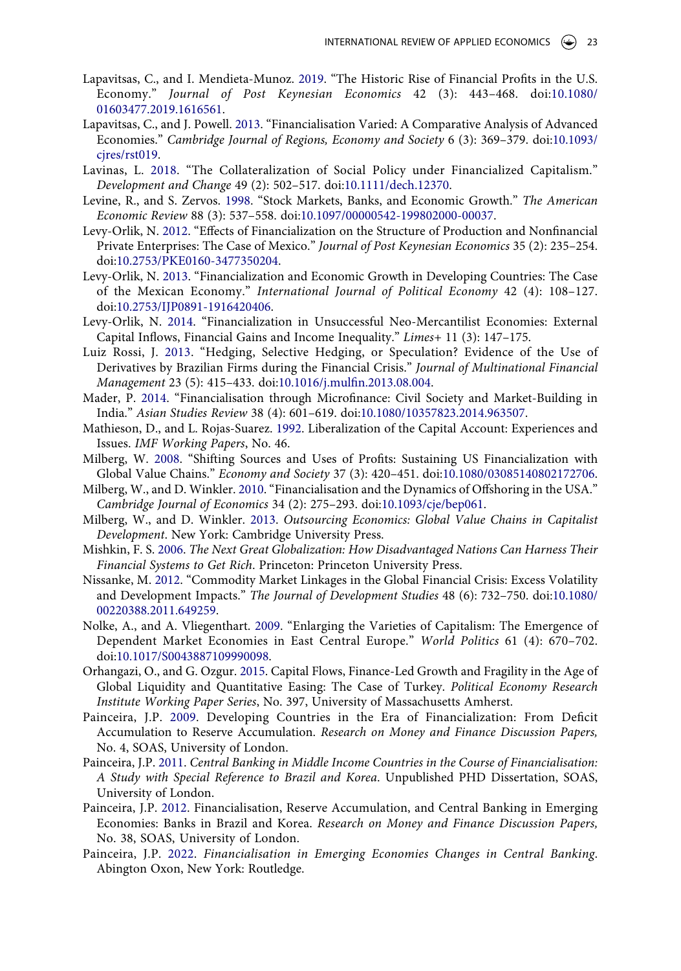- <span id="page-23-10"></span>Lapavitsas, C., and I. Mendieta-Munoz. [2019.](#page-11-0) "The Historic Rise of Financial Profits in the U.S. Economy." *Journal of Post Keynesian Economics* 42 (3): 443–468. doi:[10.1080/](https://doi.org/10.1080/01603477.2019.1616561) [01603477.2019.1616561.](https://doi.org/10.1080/01603477.2019.1616561)
- <span id="page-23-4"></span>Lapavitsas, C., and J. Powell. [2013.](#page-5-10) "Financialisation Varied: A Comparative Analysis of Advanced Economies." *Cambridge Journal of Regions, Economy and Society* 6 (3): 369–379. doi:[10.1093/](https://doi.org/10.1093/cjres/rst019) cires/rst019.
- <span id="page-23-14"></span>Lavinas, L. [2018](#page-15-2). "The Collateralization of Social Policy under Financialized Capitalism." *Development and Change* 49 (2): 502–517. doi:[10.1111/dech.12370](https://doi.org/10.1111/dech.12370).
- <span id="page-23-9"></span>Levine, R., and S. Zervos. [1998](#page-10-5). "Stock Markets, Banks, and Economic Growth." *The American Economic Review* 88 (3): 537–558. doi:[10.1097/00000542-199802000-00037.](https://doi.org/10.1097/00000542-199802000-00037)
- <span id="page-23-1"></span>Levy-Orlik, N. [2012](#page-5-11). "Effects of Financialization on the Structure of Production and Nonfinancial Private Enterprises: The Case of Mexico." *Journal of Post Keynesian Economics* 35 (2): 235–254. doi:[10.2753/PKE0160-3477350204.](https://doi.org/10.2753/PKE0160-3477350204)
- <span id="page-23-2"></span>Levy-Orlik, N. [2013](#page-5-11). "Financialization and Economic Growth in Developing Countries: The Case of the Mexican Economy." *International Journal of Political Economy* 42 (4): 108–127. doi:[10.2753/IJP0891-1916420406](https://doi.org/10.2753/IJP0891-1916420406).
- <span id="page-23-3"></span>Levy-Orlik, N. [2014.](#page-5-11) "Financialization in Unsuccessful Neo-Mercantilist Economies: External Capital Inflows, Financial Gains and Income Inequality." *Limes+* 11 (3): 147–175.
- <span id="page-23-11"></span>Luiz Rossi, J. [2013](#page-12-7). "Hedging, Selective Hedging, or Speculation? Evidence of the Use of Derivatives by Brazilian Firms during the Financial Crisis." *Journal of Multinational Financial Management* 23 (5): 415–433. doi:[10.1016/j.mulfin.2013.08.004](https://doi.org/10.1016/j.mulfin.2013.08.004).
- <span id="page-23-15"></span>Mader, P. [2014.](#page-15-0) "Financialisation through Microfinance: Civil Society and Market-Building in India." *Asian Studies Review* 38 (4): 601–619. doi:[10.1080/10357823.2014.963507](https://doi.org/10.1080/10357823.2014.963507).
- <span id="page-23-18"></span>Mathieson, D., and L. Rojas-Suarez. [1992](#page-18-21). Liberalization of the Capital Account: Experiences and Issues. *IMF Working Papers*, No. 46.
- <span id="page-23-6"></span>Milberg, W. [2008](#page-7-4). "Shifting Sources and Uses of Profits: Sustaining US Financialization with Global Value Chains." *Economy and Society* 37 (3): 420–451. doi:[10.1080/03085140802172706](https://doi.org/10.1080/03085140802172706).
- <span id="page-23-7"></span>Milberg, W., and D. Winkler. [2010](#page-7-4). "Financialisation and the Dynamics of Offshoring in the USA." *Cambridge Journal of Economics* 34 (2): 275–293. doi:[10.1093/cje/bep061](https://doi.org/10.1093/cje/bep061).
- <span id="page-23-8"></span>Milberg, W., and D. Winkler. [2013.](#page-7-4) *Outsourcing Economics: Global Value Chains in Capitalist Development*. New York: Cambridge University Press.
- <span id="page-23-19"></span>Mishkin, F. S. [2006.](#page-18-18) *The Next Great Globalization: How Disadvantaged Nations Can Harness Their Financial Systems to Get Rich*. Princeton: Princeton University Press.
- <span id="page-23-17"></span>Nissanke, M. [2012](#page-16-2). "Commodity Market Linkages in the Global Financial Crisis: Excess Volatility and Development Impacts." *The Journal of Development Studies* 48 (6): 732–750. doi:[10.1080/](https://doi.org/10.1080/00220388.2011.649259) [00220388.2011.649259](https://doi.org/10.1080/00220388.2011.649259).
- <span id="page-23-0"></span>Nolke, A., and A. Vliegenthart. [2009](#page-5-12). "Enlarging the Varieties of Capitalism: The Emergence of Dependent Market Economies in East Central Europe." *World Politics* 61 (4): 670–702. doi:[10.1017/S0043887109990098.](https://doi.org/10.1017/S0043887109990098)
- <span id="page-23-13"></span>Orhangazi, O., and G. Ozgur. [2015](#page-14-2). Capital Flows, Finance-Led Growth and Fragility in the Age of Global Liquidity and Quantitative Easing: The Case of Turkey. *Political Economy Research Institute Working Paper Series*, No. 397, University of Massachusetts Amherst.
- <span id="page-23-5"></span>Painceira, J.P. [2009](#page-6-7). Developing Countries in the Era of Financialization: From Deficit Accumulation to Reserve Accumulation. *Research on Money and Finance Discussion Papers,*  No. 4, SOAS, University of London.
- <span id="page-23-16"></span>Painceira, J.P. [2011](#page-16-3). *Central Banking in Middle Income Countries in the Course of Financialisation: A Study with Special Reference to Brazil and Korea*. Unpublished PHD Dissertation, SOAS, University of London.
- <span id="page-23-12"></span>Painceira, J.P. [2012](#page-14-3). Financialisation, Reserve Accumulation, and Central Banking in Emerging Economies: Banks in Brazil and Korea. *Research on Money and Finance Discussion Papers,*  No. 38, SOAS, University of London.
- <span id="page-23-20"></span>Painceira, J.P. [2022](#page-18-11). *Financialisation in Emerging Economies Changes in Central Banking*. Abington Oxon, New York: Routledge.